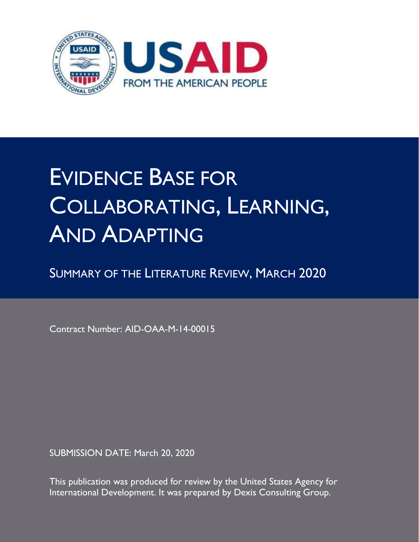

## EVIDENCE BASE FOR COLLABORATING, LEARNING, AND ADAPTING

SUMMARY OF THE LITERATURE REVIEW, MARCH 2020

Contract Number: AID-OAA-M-14-00015

SUBMISSION DATE: March 20, 2020

This publication was produced for review by the United States Agency for International Development. It was prepared by Dexis Consulting Group.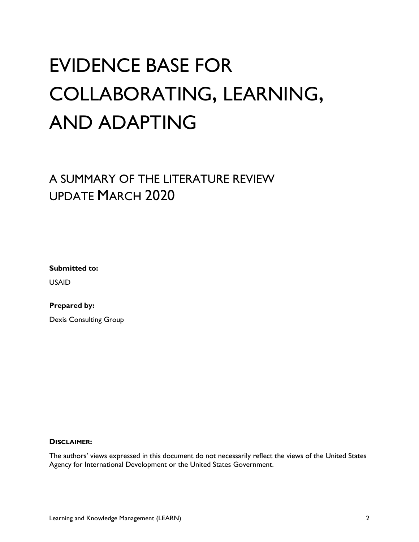## EVIDENCE BASE FOR COLLABORATING, LEARNING, AND ADAPTING

## A SUMMARY OF THE LITERATURE REVIEW UPDATE MARCH 2020

**Submitted to:**

USAID

**Prepared by:**

Dexis Consulting Group

#### **DISCLAIMER:**

The authors' views expressed in this document do not necessarily reflect the views of the United States Agency for International Development or the United States Government.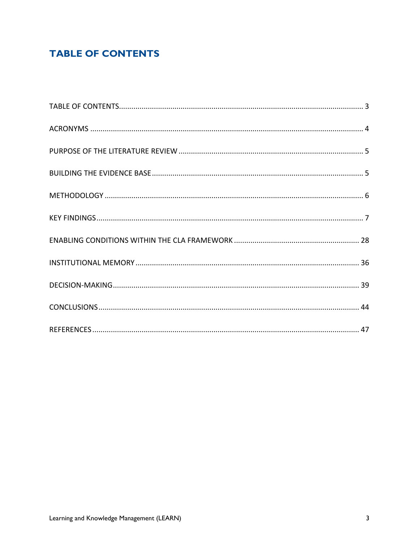## <span id="page-2-0"></span>**TABLE OF CONTENTS**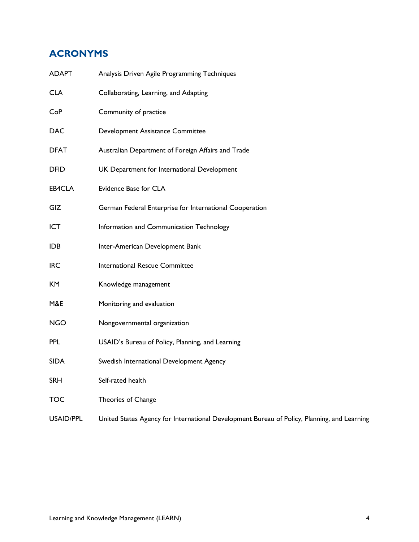## <span id="page-3-0"></span>**ACRONYMS**

| <b>ADAPT</b>     | Analysis Driven Agile Programming Techniques                                                |
|------------------|---------------------------------------------------------------------------------------------|
| <b>CLA</b>       | Collaborating, Learning, and Adapting                                                       |
| CoP              | Community of practice                                                                       |
| <b>DAC</b>       | Development Assistance Committee                                                            |
| <b>DFAT</b>      | Australian Department of Foreign Affairs and Trade                                          |
| <b>DFID</b>      | UK Department for International Development                                                 |
| EB4CLA           | Evidence Base for CLA                                                                       |
| GIZ              | German Federal Enterprise for International Cooperation                                     |
| ICT              | Information and Communication Technology                                                    |
| <b>IDB</b>       | Inter-American Development Bank                                                             |
| <b>IRC</b>       | International Rescue Committee                                                              |
| KM               | Knowledge management                                                                        |
| M&E              | Monitoring and evaluation                                                                   |
| <b>NGO</b>       | Nongovernmental organization                                                                |
| <b>PPL</b>       | USAID's Bureau of Policy, Planning, and Learning                                            |
| <b>SIDA</b>      | Swedish International Development Agency                                                    |
| <b>SRH</b>       | Self-rated health                                                                           |
| <b>TOC</b>       | Theories of Change                                                                          |
| <b>USAID/PPL</b> | United States Agency for International Development Bureau of Policy, Planning, and Learning |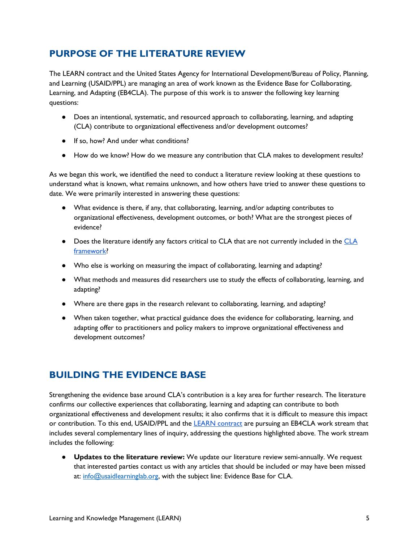## <span id="page-4-0"></span>**PURPOSE OF THE LITERATURE REVIEW**

The LEARN contract and the United States Agency for International Development/Bureau of Policy, Planning, and Learning (USAID/PPL) are managing an area of work known as the Evidence Base for Collaborating, Learning, and Adapting (EB4CLA). The purpose of this work is to answer the following key learning questions:

- Does an intentional, systematic, and resourced approach to collaborating, learning, and adapting (CLA) contribute to organizational effectiveness and/or development outcomes?
- If so, how? And under what conditions?
- How do we know? How do we measure any contribution that CLA makes to development results?

As we began this work, we identified the need to conduct a literature review looking at these questions to understand what is known, what remains unknown, and how others have tried to answer these questions to date. We were primarily interested in answering these questions:

- What evidence is there, if any, that collaborating, learning, and/or adapting contributes to organizational effectiveness, development outcomes, or both? What are the strongest pieces of evidence?
- Does the literature identify any factors critical to CLA that are not currently included in the [CLA](https://usaidlearninglab.org/lab-notes/lucky-7-meet-updated-cla-framework,-version-7)  [framework?](https://usaidlearninglab.org/lab-notes/lucky-7-meet-updated-cla-framework,-version-7)
- Who else is working on measuring the impact of collaborating, learning and adapting?
- What methods and measures did researchers use to study the effects of collaborating, learning, and adapting?
- Where are there gaps in the research relevant to collaborating, learning, and adapting?
- When taken together, what practical guidance does the evidence for collaborating, learning, and adapting offer to practitioners and policy makers to improve organizational effectiveness and development outcomes?

## <span id="page-4-1"></span>**BUILDING THE EVIDENCE BASE**

Strengthening the evidence base around CLA's contribution is a key area for further research. The literature confirms our collective experiences that collaborating, learning and adapting can contribute to both organizational effectiveness and development results; it also confirms that it is difficult to measure this impact or contribution. To this end, USAID/PPL and the [LEARN contract](https://usaidlearninglab.org/learn-contract) are pursuing an EB4CLA work stream that includes several complementary lines of inquiry, addressing the questions highlighted above. The work stream includes the following:

● **Updates to the literature review:** We update our literature review semi-annually. We request that interested parties contact us with any articles that should be included or may have been missed at: [info@usaidlearninglab.org,](mailto:info@usaidlearninglab.org) with the subject line: Evidence Base for CLA.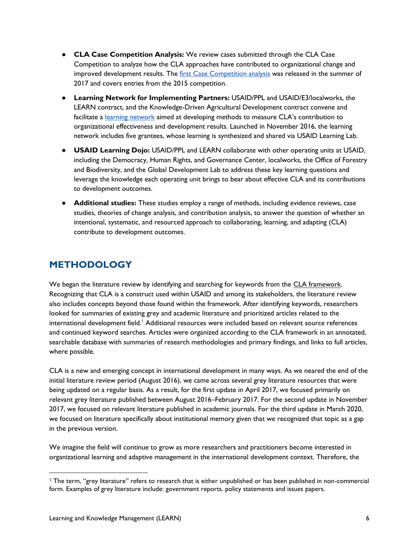- **CLA Case Competition Analysis:** We review cases submitted through the CLA Case Competition to analyze how the CLA approaches have contributed to organizational change and improved development results. The [first Case Competition analysis](https://usaidlearninglab.org/lab-notes/three-ways-collaborating,-learning,-and-adapting-make-difference-what-weve-learned-our?utm_content=buffer31094&utm_medium=social&utm_source=twitter.com&utm_campaign=buffer) was released in the summer of 2017 and covers entries from the 2015 competition.
- **Learning Network for Implementing Partners:** USAID/PPL and USAID/E3/localworks, the LEARN contract, and the Knowledge-Driven Agricultural Development contract convene and facilitate a [learning network](https://usaidlearninglab.org/lab-notes/announcement-cla-learning-network-launch) aimed at developing methods to measure CLA's contribution to organizational effectiveness and development results. Launched in November 2016, the learning network includes five grantees, whose learning is synthesized and shared via USAID Learning Lab.
- **USAID Learning Dojo:** USAID/PPL and LEARN collaborate with other operating units at USAID, including the Democracy, Human Rights, and Governance Center, localworks, the Office of Forestry and Biodiversity, and the Global Development Lab to address these key learning questions and leverage the knowledge each operating unit brings to bear about effective CLA and its contributions to development outcomes.
- **Additional studies:** These studies employ a range of methods, including evidence reviews, case studies, theories of change analysis, and contribution analysis, to answer the question of whether an intentional, systematic, and resourced approach to collaborating, learning, and adapting (CLA) contribute to development outcomes.

## <span id="page-5-0"></span>**METHODOLOGY**

We began the literature review by identifying and searching for keywords from the [CLA framework.](https://usaidlearninglab.org/lab-notes/exploring-cla-framework) Recognizing that CLA is a construct used within USAID and among its stakeholders, the literature review also includes concepts beyond those found within the framework. After identifying keywords, researchers looked for summaries of existing grey and academic literature and prioritized articles related to the international development field.<sup>1</sup> Additional resources were included based on relevant source references and continued keyword searches. Articles were organized according to the CLA framework in an annotated, searchable database with summaries of research methodologies and primary findings, and links to full articles, where possible.

CLA is a new and emerging concept in international development in many ways. As we neared the end of the initial literature review period (August 2016), we came across several grey literature resources that were being updated on a regular basis. As a result, for the first update in April 2017, we focused primarily on relevant grey literature published between August 2016–February 2017. For the second update in November 2017, we focused on relevant literature published in academic journals. For the third update in March 2020, we focused on literature specifically about institutional memory given that we recognized that topic as a gap in the previous version.

We imagine the field will continue to grow as more researchers and practitioners become interested in organizational learning and adaptive management in the international development context. Therefore, the

<sup>1</sup> The term, "grey literature" refers to research that is either unpublished or has been published in non-commercial form. Examples of grey literature include: government reports. policy statements and issues papers.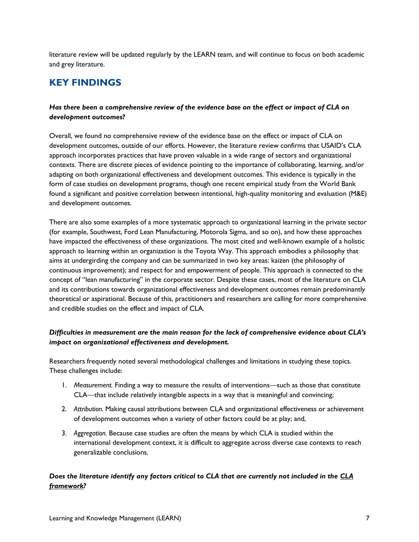literature review will be updated regularly by the LEARN team, and will continue to focus on both academic and grey literature.

## <span id="page-6-0"></span>**KEY FINDINGS**

### *Has there been a comprehensive review of the evidence base on the effect or impact of CLA on development outcomes?*

Overall, we found no comprehensive review of the evidence base on the effect or impact of CLA on development outcomes, outside of our efforts. However, the literature review confirms that USAID's CLA approach incorporates practices that have proven valuable in a wide range of sectors and organizational contexts. There are discrete pieces of evidence pointing to the importance of collaborating, learning, and/or adapting on both organizational effectiveness and development outcomes. This evidence is typically in the form of case studies on development programs, though one recent empirical study from the World Bank found a significant and positive correlation between intentional, high-quality monitoring and evaluation (M&E) and development outcomes.

There are also some examples of a more systematic approach to organizational learning in the private sector (for example, Southwest, Ford Lean Manufacturing, Motorola Sigma, and so on), and how these approaches have impacted the effectiveness of these organizations. The most cited and well-known example of a holistic approach to learning within an organization is the Toyota Way. This approach embodies a philosophy that aims at undergirding the company and can be summarized in two key areas: kaizen (the philosophy of continuous improvement); and respect for and empowerment of people. This approach is connected to the concept of "lean manufacturing" in the corporate sector. Despite these cases, most of the literature on CLA and its contributions towards organizational effectiveness and development outcomes remain predominantly theoretical or aspirational. Because of this, practitioners and researchers are calling for more comprehensive and credible studies on the effect and impact of CLA.

### *Difficulties in measurement are the main reason for the lack of comprehensive evidence about CLA's impact on organizational effectiveness and development.*

Researchers frequently noted several methodological challenges and limitations in studying these topics. These challenges include:

- 1. *Measurement.* Finding a way to measure the results of interventions—such as those that constitute CLA—that include relatively intangible aspects in a way that is meaningful and convincing;
- 2. *Attribution.* Making causal attributions between CLA and organizational effectiveness or achievement of development outcomes when a variety of other factors could be at play; and,
- 3. *Aggregation.* Because case studies are often the means by which CLA is studied within the international development context, it is difficult to aggregate across diverse case contexts to reach generalizable conclusions.

### *Does the literature identify any factors critical to CLA that are currently not included in the [CLA](https://usaidlearninglab.org/lab-notes/exploring-cla-framework)  [framework?](https://usaidlearninglab.org/lab-notes/exploring-cla-framework)*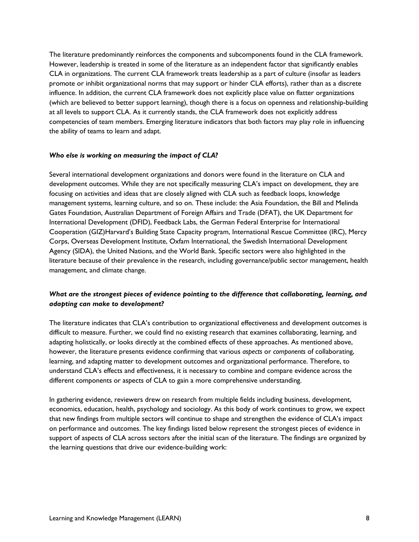The literature predominantly reinforces the components and subcomponents found in the CLA framework. However, leadership is treated in some of the literature as an independent factor that significantly enables CLA in organizations. The current CLA framework treats leadership as a part of culture (insofar as leaders promote or inhibit organizational norms that may support or hinder CLA efforts), rather than as a discrete influence. In addition, the current CLA framework does not explicitly place value on flatter organizations (which are believed to better support learning), though there is a focus on openness and relationship-building at all levels to support CLA. As it currently stands, the CLA framework does not explicitly address competencies of team members. Emerging literature indicators that both factors may play role in influencing the ability of teams to learn and adapt.

#### *Who else is working on measuring the impact of CLA?*

Several international development organizations and donors were found in the literature on CLA and development outcomes. While they are not specifically measuring CLA's impact on development, they are focusing on activities and ideas that are closely aligned with CLA such as feedback loops, knowledge management systems, learning culture, and so on. These include: the Asia Foundation, the Bill and Melinda Gates Foundation, Australian Department of Foreign Affairs and Trade (DFAT), the UK Department for International Development (DFID), Feedback Labs, the German Federal Enterprise for International Cooperation (GIZ)Harvard's Building State Capacity program, International Rescue Committee (IRC), Mercy Corps, Overseas Development Institute, Oxfam International, the Swedish International Development Agency (SIDA), the United Nations, and the World Bank. Specific sectors were also highlighted in the literature because of their prevalence in the research, including governance/public sector management, health management, and climate change.

### *What are the strongest pieces of evidence pointing to the difference that collaborating, learning, and adapting can make to development?*

The literature indicates that CLA's contribution to organizational effectiveness and development outcomes is difficult to measure. Further, we could find no existing research that examines collaborating, learning, and adapting holistically, or looks directly at the combined effects of these approaches. As mentioned above, however, the literature presents evidence confirming that various *aspects* or *components* of collaborating, learning, and adapting matter to development outcomes and organizational performance. Therefore, to understand CLA's effects and effectiveness, it is necessary to combine and compare evidence across the different components or aspects of CLA to gain a more comprehensive understanding.

In gathering evidence, reviewers drew on research from multiple fields including business, development, economics, education, health, psychology and sociology. As this body of work continues to grow, we expect that new findings from multiple sectors will continue to shape and strengthen the evidence of CLA's impact on performance and outcomes. The key findings listed below represent the strongest pieces of evidence in support of aspects of CLA across sectors after the initial scan of the literature. The findings are organized by the learning questions that drive our evidence-building work: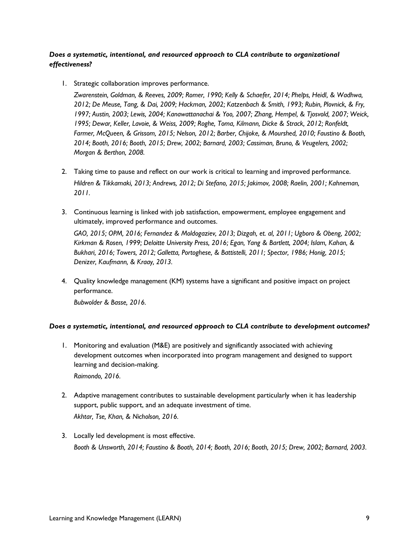### *Does a systematic, intentional, and resourced approach to CLA contribute to organizational effectiveness?*

1. Strategic collaboration improves performance.

*Zwarenstein, Goldman, & Reeves, 2009; Romer, 1990; Kelly & Schaefer, 2014; Phelps, Heidl, & Wadhwa, 2012; De Meuse, Tang, & Dai, 2009; Hackman, 2002; Katzenbach & Smith, 1993; Rubin, Plovnick, & Fry, 1997; Austin, 2003; Lewis, 2004; Kanawattanachai & Yoo, 2007; Zhang, Hempel, & Tjosvold, 2007; Weick, 1995; Dewar, Keller, Lavoie, & Weiss, 2009; Roghe, Toma, Kilmann, Dicke & Strack, 2012; Ronfeldt, Farmer, McQueen, & Grissom, 2015; Nelson, 2012; Barber, Chijoke, & Mourshed, 2010; Faustino & Booth, 2014; Booth, 2016; Booth, 2015; Drew, 2002; Barnard, 2003; Cassiman, Bruno, & Veugelers, 2002; Morgan & Berthon, 2008.* 

- 2. Taking time to pause and reflect on our work is critical to learning and improved performance. *Hildren & Tikkamaki, 2013; Andrews, 2012; Di Stefano, 2015; Jakimov, 2008; Raelin, 2001; Kahneman, 2011.*
- 3. Continuous learning is linked with job satisfaction, empowerment, employee engagement and ultimately, improved performance and outcomes.

*GAO, 2015; OPM, 2016; Fernandez & Moldogaziev, 2013; Dizgah, et. al, 2011; Ugboro & Obeng, 2002; Kirkman & Rosen, 1999; Deloitte University Press, 2016; Egan, Yang & Bartlett, 2004; Islam, Kahan, & Bukhari, 2016; Towers, 2012; Galletta, Portoghese, & Battistelli, 2011; Spector, 1986; Honig, 2015; Denizer, Kaufmann, & Kraay, 2013.* 

4. Quality knowledge management (KM) systems have a significant and positive impact on project performance.

*Bubwolder & Basse, 2016.*

### *Does a systematic, intentional, and resourced approach to CLA contribute to development outcomes?*

- 1. Monitoring and evaluation (M&E) are positively and significantly associated with achieving development outcomes when incorporated into program management and designed to support learning and decision-making. *Raimondo, 2016.*
- 2. Adaptive management contributes to sustainable development particularly when it has leadership support, public support, and an adequate investment of time. *Akhtar, Tse, Khan, & Nicholson, 2016.*
- 3. Locally led development is most effective. *Booth & Unsworth, 2014; Faustino & Booth, 2014; Booth, 2016; Booth, 2015; Drew, 2002; Barnard, 2003.*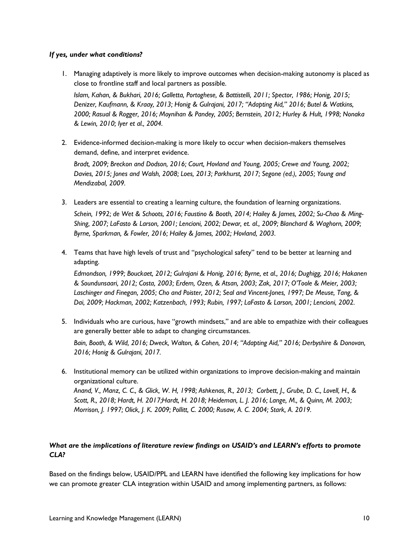### *If yes, under what conditions?*

1. Managing adaptively is more likely to improve outcomes when decision-making autonomy is placed as close to frontline staff and local partners as possible.

*Islam, Kahan, & Bukhari, 2016; Galletta, Portoghese, & Battistelli, 2011; Spector, 1986; Honig, 2015; Denizer, Kaufmann, & Kraay, 2013; Honig & Gulrajani, 2017; "Adapting Aid," 2016; Butel & Watkins, 2000; Rasual & Rogger, 2016; Moynihan & Pandey, 2005; Bernstein, 2012; Hurley & Hult, 1998; Nonaka & Lewin, 2010; Iyer et al., 2004.* 

2. Evidence-informed decision-making is more likely to occur when decision-makers themselves demand, define, and interpret evidence.

*Bradt, 2009; Breckon and Dodson, 2016; Court, Hovland and Young, 2005; Crewe and Young, 2002; Davies, 2015; Jones and Walsh, 2008; Loes, 2013; Parkhurst, 2017; Segone (ed.), 2005; Young and Mendizabal, 2009.*

- 3. Leaders are essential to creating a learning culture, the foundation of learning organizations. *Schein, 1992; de Wet & Schoots, 2016; Faustino & Booth, 2014; Hailey & James, 2002; Su-Chao & Ming-Shing, 2007; LaFasto & Larson, 2001; Lencioni, 2002; Dewar, et. al., 2009; Blanchard & Waghorn, 2009; Byrne, Sparkman, & Fowler, 2016; Hailey & James, 2002; Hovland, 2003.*
- 4. Teams that have high levels of trust and "psychological safety" tend to be better at learning and adapting.

*Edmondson, 1999; Bouckaet, 2012; Gulrajani & Honig, 2016; Byrne, et al., 2016; Dughigg, 2016; Hakanen & Soundunsaari, 2012; Costa, 2003; Erdem, Ozen, & Atsan, 2003; Zak, 2017; O'Toole & Meier, 2003; Laschinger and Finegan, 2005; Cho and Poister, 2012; Seal and Vincent-Jones, 1997; De Meuse, Tang, & Dai, 2009; Hackman, 2002; Katzenbach, 1993; Rubin, 1997; LaFasto & Larson, 2001; Lencioni, 2002.* 

- 5. Individuals who are curious, have "growth mindsets," and are able to empathize with their colleagues are generally better able to adapt to changing circumstances. *Bain, Booth, & Wild, 2016; Dweck, Walton, & Cohen, 2014; "Adapting Aid," 2016; Derbyshire & Donovan, 2016; Honig & Gulrajani, 2017.*
- 6. Institutional memory can be utilized within organizations to improve decision-making and maintain organizational culture. *Anand, V., Manz, C. C., & Glick, W. H, 1998; Ashkenas, R., 2013; Corbett, J., Grube, D. C., Lovell, H., & Scott, R., 2018; Hardt, H. 2017;Hardt, H. 2018; Heideman, L. J. 2016; Lange, M., & Quinn, M. 2003; Morrison, J. 1997; Olick, J. K. 2009; Pollitt, C. 2000; Rusaw, A. C. 2004; Stark, A. 2019.*

### *What are the implications of literature review findings on USAID's and LEARN's efforts to promote CLA?*

Based on the findings below, USAID/PPL and LEARN have identified the following key implications for how we can promote greater CLA integration within USAID and among implementing partners, as follows: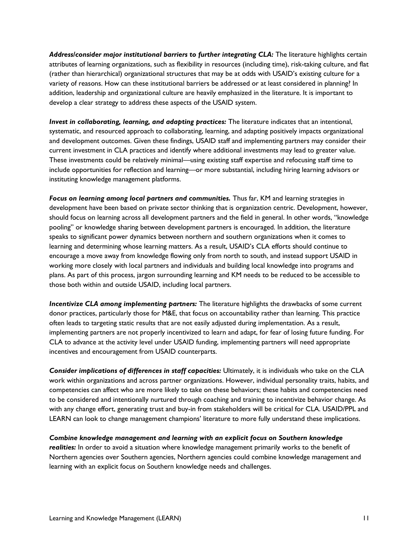*Address/consider major institutional barriers to further integrating CLA:* The literature highlights certain attributes of learning organizations, such as flexibility in resources (including time), risk-taking culture, and flat (rather than hierarchical) organizational structures that may be at odds with USAID's existing culture for a variety of reasons. How can these institutional barriers be addressed or at least considered in planning? In addition, leadership and organizational culture are heavily emphasized in the literature. It is important to develop a clear strategy to address these aspects of the USAID system.

*Invest in collaborating, learning, and adapting practices:* The literature indicates that an intentional, systematic, and resourced approach to collaborating, learning, and adapting positively impacts organizational and development outcomes. Given these findings, USAID staff and implementing partners may consider their current investment in CLA practices and identify where additional investments may lead to greater value. These investments could be relatively minimal—using existing staff expertise and refocusing staff time to include opportunities for reflection and learning—or more substantial, including hiring learning advisors or instituting knowledge management platforms.

*Focus on learning among local partners and communities.* Thus far, KM and learning strategies in development have been based on private sector thinking that is organization centric. Development, however, should focus on learning across all development partners and the field in general. In other words, "knowledge pooling" or knowledge sharing between development partners is encouraged. In addition, the literature speaks to significant power dynamics between northern and southern organizations when it comes to learning and determining whose learning matters. As a result, USAID's CLA efforts should continue to encourage a move away from knowledge flowing only from north to south, and instead support USAID in working more closely with local partners and individuals and building local knowledge into programs and plans. As part of this process, jargon surrounding learning and KM needs to be reduced to be accessible to those both within and outside USAID, including local partners.

*Incentivize CLA among implementing partners:* The literature highlights the drawbacks of some current donor practices, particularly those for M&E, that focus on accountability rather than learning. This practice often leads to targeting static results that are not easily adjusted during implementation. As a result, implementing partners are not properly incentivized to learn and adapt, for fear of losing future funding. For CLA to advance at the activity level under USAID funding, implementing partners will need appropriate incentives and encouragement from USAID counterparts.

*Consider implications of differences in staff capacities:* Ultimately, it is individuals who take on the CLA work within organizations and across partner organizations. However, individual personality traits, habits, and competencies can affect who are more likely to take on these behaviors; these habits and competencies need to be considered and intentionally nurtured through coaching and training to incentivize behavior change. As with any change effort, generating trust and buy-in from stakeholders will be critical for CLA. USAID/PPL and LEARN can look to change management champions' literature to more fully understand these implications.

*Combine knowledge management and learning with an explicit focus on Southern knowledge* 

*realities:* In order to avoid a situation where knowledge management primarily works to the benefit of Northern agencies over Southern agencies, Northern agencies could combine knowledge management and learning with an explicit focus on Southern knowledge needs and challenges.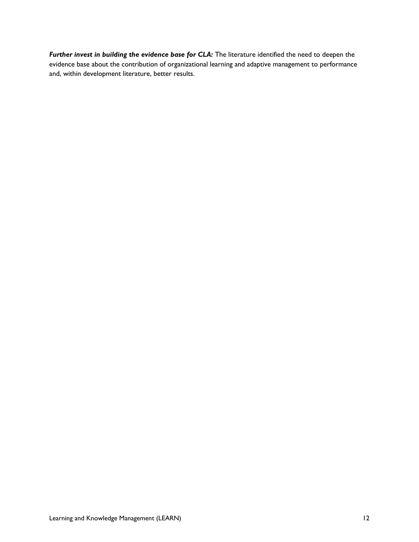*Further invest in building the evidence base for CLA:* The literature identified the need to deepen the evidence base about the contribution of organizational learning and adaptive management to performance and, within development literature, better results.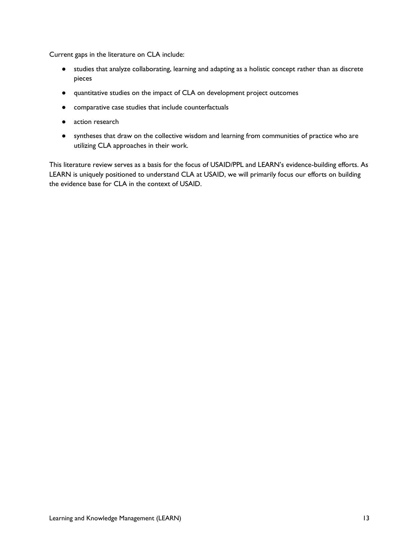Current gaps in the literature on CLA include:

- studies that analyze collaborating, learning and adapting as a holistic concept rather than as discrete pieces
- quantitative studies on the impact of CLA on development project outcomes
- comparative case studies that include counterfactuals
- action research
- syntheses that draw on the collective wisdom and learning from communities of practice who are utilizing CLA approaches in their work.

This literature review serves as a basis for the focus of USAID/PPL and LEARN's evidence-building efforts. As LEARN is uniquely positioned to understand CLA at USAID, we will primarily focus our efforts on building the evidence base for CLA in the context of USAID.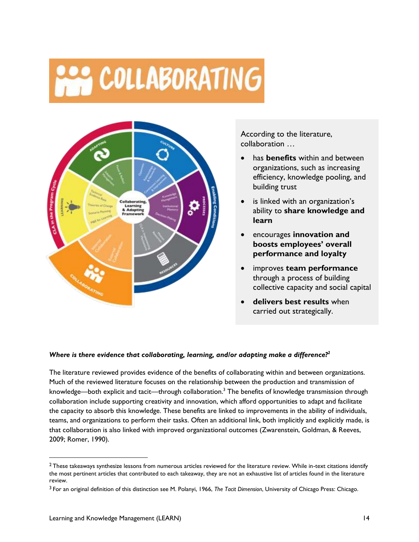## **SASE COLLABORATING**



According to the literature, collaboration …

- has **benefits** within and between organizations, such as increasing efficiency, knowledge pooling, and building trust
- is linked with an organization's ability to **share knowledge and learn**
- encourages **innovation and boosts employees' overall performance and loyalty**
- improves **team performance** through a process of building collective capacity and social capital
- **delivers best results** when carried out strategically.

### *Where is there evidence that collaborating, learning, and/or adapting make a difference?<sup>2</sup>*

The literature reviewed provides evidence of the benefits of collaborating within and between organizations. Much of the reviewed literature focuses on the relationship between the production and transmission of knowledge—both explicit and tacit—through collaboration.<sup>3</sup> The benefits of knowledge transmission through collaboration include supporting creativity and innovation, which afford opportunities to adapt and facilitate the capacity to absorb this knowledge. These benefits are linked to improvements in the ability of individuals, teams, and organizations to perform their tasks. Often an additional link, both implicitly and explicitly made, is that collaboration is also linked with improved organizational outcomes (Zwarenstein, Goldman, & Reeves, 2009; Romer, 1990).

 $2$  These takeaways synthesize lessons from numerous articles reviewed for the literature review. While in-text citations identify the most pertinent articles that contributed to each takeaway, they are not an exhaustive list of articles found in the literature review.

<sup>3</sup> For an original definition of this distinction see M. Polanyi, 1966, *The Tacit Dimension*, University of Chicago Press: Chicago.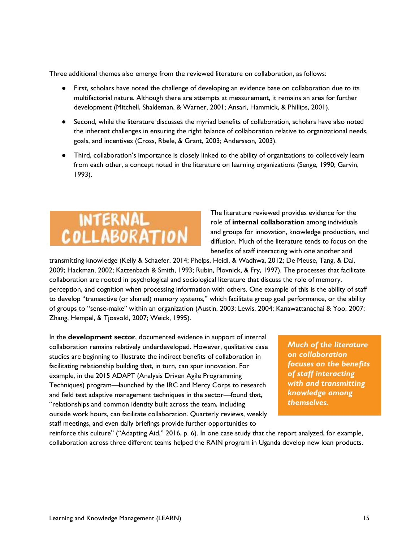Three additional themes also emerge from the reviewed literature on collaboration, as follows:

- First, scholars have noted the challenge of developing an evidence base on collaboration due to its multifactorial nature. Although there are attempts at measurement, it remains an area for further development (Mitchell, Shakleman, & Warner, 2001; Ansari, Hammick, & Phillips, 2001).
- Second, while the literature discusses the myriad benefits of collaboration, scholars have also noted the inherent challenges in ensuring the right balance of collaboration relative to organizational needs, goals, and incentives (Cross, Rbele, & Grant, 2003; Andersson, 2003).
- Third, collaboration's importance is closely linked to the ability of organizations to collectively learn from each other, a concept noted in the literature on learning organizations (Senge, 1990; Garvin, 1993).



The literature reviewed provides evidence for the role of **internal collaboration** among individuals and groups for innovation, knowledge production, and diffusion. Much of the literature tends to focus on the benefits of staff interacting with one another and

transmitting knowledge (Kelly & Schaefer, 2014; Phelps, Heidl, & Wadhwa, 2012; De Meuse, Tang, & Dai, 2009; Hackman, 2002; Katzenbach & Smith, 1993; Rubin, Plovnick, & Fry, 1997). The processes that facilitate collaboration are rooted in psychological and sociological literature that discuss the role of memory, perception, and cognition when processing information with others. One example of this is the ability of staff to develop "transactive (or shared) memory systems," which facilitate group goal performance, or the ability of groups to "sense-make" within an organization (Austin, 2003; Lewis, 2004; Kanawattanachai & Yoo, 2007; Zhang, Hempel, & Tjosvold, 2007; Weick, 1995).

In the **development sector**, documented evidence in support of internal collaboration remains relatively underdeveloped. However, qualitative case studies are beginning to illustrate the indirect benefits of collaboration in facilitating relationship building that, in turn, can spur innovation. For example, in the 2015 ADAPT (Analysis Driven Agile Programming Techniques) program—launched by the IRC and Mercy Corps to research and field test adaptive management techniques in the sector—found that, "relationships and common identity built across the team, including outside work hours, can facilitate collaboration. Quarterly reviews, weekly staff meetings, and even daily briefings provide further opportunities to

*Much of the literature on collaboration focuses on the benefits of staff interacting with and transmitting knowledge among themselves.*

reinforce this culture" ("Adapting Aid," 2016, p. 6). In one case study that the report analyzed, for example, collaboration across three different teams helped the RAIN program in Uganda develop new loan products.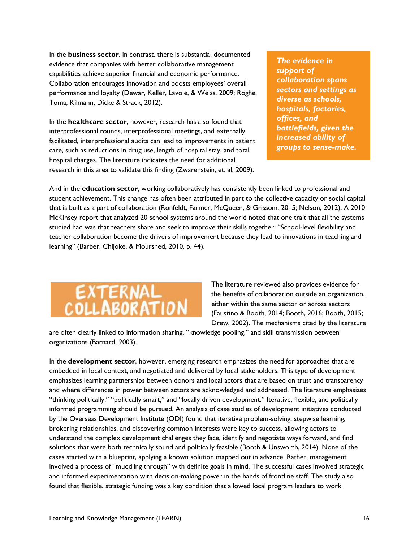In the **business sector**, in contrast, there is substantial documented evidence that companies with better collaborative management capabilities achieve superior financial and economic performance. Collaboration encourages innovation and boosts employees' overall performance and loyalty (Dewar, Keller, Lavoie, & Weiss, 2009; Roghe, Toma, Kilmann, Dicke & Strack, 2012).

In the **healthcare sector**, however, research has also found that interprofessional rounds, interprofessional meetings, and externally facilitated, interprofessional audits can lead to improvements in patient care, such as reductions in drug use, length of hospital stay, and total hospital charges. The literature indicates the need for additional research in this area to validate this finding (Zwarenstein, et. al, 2009).

*The evidence in support of collaboration spans sectors and settings as diverse as schools, hospitals, factories, offices, and battlefields, given the increased ability of groups to sense-make.*

And in the **education sector**, working collaboratively has consistently been linked to professional and student achievement. This change has often been attributed in part to the collective capacity or social capital that is built as a part of collaboration (Ronfeldt, Farmer, McQueen, & Grissom, 2015; Nelson, 2012). A 2010 McKinsey report that analyzed 20 school systems around the world noted that one trait that all the systems studied had was that teachers share and seek to improve their skills together: "School-level flexibility and teacher collaboration become the drivers of improvement because they lead to innovations in teaching and learning" (Barber, Chijoke, & Mourshed, 2010, p. 44).



The literature reviewed also provides evidence for the benefits of collaboration outside an organization, either within the same sector or across sectors (Faustino & Booth, 2014; Booth, 2016; Booth, 2015; Drew, 2002). The mechanisms cited by the literature

are often clearly linked to information sharing, "knowledge pooling," and skill transmission between organizations (Barnard, 2003).

In the **development sector**, however, emerging research emphasizes the need for approaches that are embedded in local context, and negotiated and delivered by local stakeholders. This type of development emphasizes learning partnerships between donors and local actors that are based on trust and transparency and where differences in power between actors are acknowledged and addressed. The literature emphasizes "thinking politically," "politically smart," and "locally driven development." Iterative, flexible, and politically informed programming should be pursued. An analysis of case studies of development initiatives conducted by the Overseas Development Institute (ODI) found that iterative problem-solving, stepwise learning, brokering relationships, and discovering common interests were key to success, allowing actors to understand the complex development challenges they face, identify and negotiate ways forward, and find solutions that were both technically sound and politically feasible (Booth & Unsworth, 2014). None of the cases started with a blueprint, applying a known solution mapped out in advance. Rather, management involved a process of "muddling through" with definite goals in mind. The successful cases involved strategic and informed experimentation with decision-making power in the hands of frontline staff. The study also found that flexible, strategic funding was a key condition that allowed local program leaders to work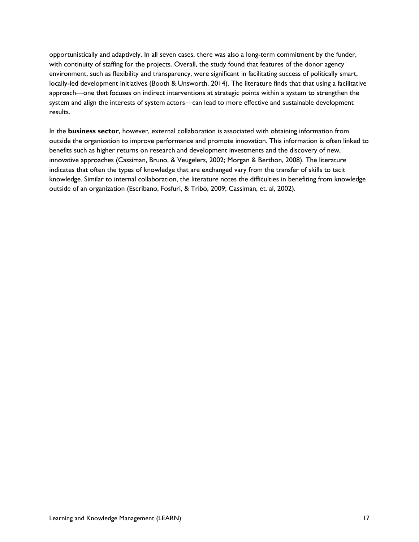opportunistically and adaptively. In all seven cases, there was also a long-term commitment by the funder, with continuity of staffing for the projects. Overall, the study found that features of the donor agency environment, such as flexibility and transparency, were significant in facilitating success of politically smart, locally-led development initiatives (Booth & Unsworth, 2014). The literature finds that that using a facilitative approach—one that focuses on indirect interventions at strategic points within a system to strengthen the system and align the interests of system actors—can lead to more effective and sustainable development results.

In the **business sector**, however, external collaboration is associated with obtaining information from outside the organization to improve performance and promote innovation. This information is often linked to benefits such as higher returns on research and development investments and the discovery of new, innovative approaches (Cassiman, Bruno, & Veugelers, 2002; Morgan & Berthon, 2008). The literature indicates that often the types of knowledge that are exchanged vary from the transfer of skills to tacit knowledge. Similar to internal collaboration, the literature notes the difficulties in benefiting from knowledge outside of an organization (Escribano, Fosfuri, & Tribó, 2009; Cassiman, et. al, 2002).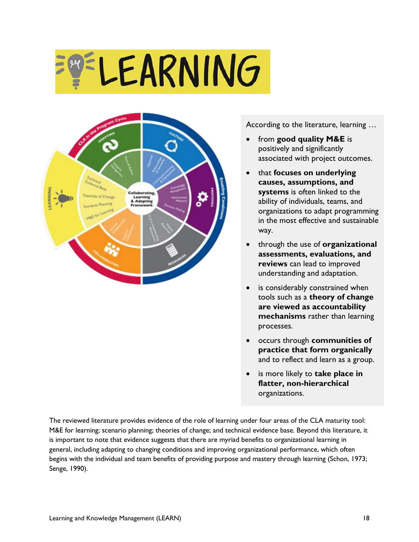# **ELEARNING**



According to the literature, learning …

- from **good quality M&E** is positively and significantly associated with project outcomes.
- that **focuses on underlying causes, assumptions, and systems** is often linked to the ability of individuals, teams, and organizations to adapt programming in the most effective and sustainable way.
- through the use of **organizational assessments, evaluations, and reviews** can lead to improved understanding and adaptation.
- is considerably constrained when tools such as a **theory of change are viewed as accountability mechanisms** rather than learning processes.
- occurs through **communities of practice that form organically** and to reflect and learn as a group.
- is more likely to **take place in flatter, non-hierarchical** organizations.

The reviewed literature provides evidence of the role of learning under four areas of the CLA maturity tool: M&E for learning; scenario planning; theories of change; and technical evidence base. Beyond this literature, it is important to note that evidence suggests that there are myriad benefits to organizational learning in general, including adapting to changing conditions and improving organizational performance, which often begins with the individual and team benefits of providing purpose and mastery through learning (Schon, 1973; Senge, 1990).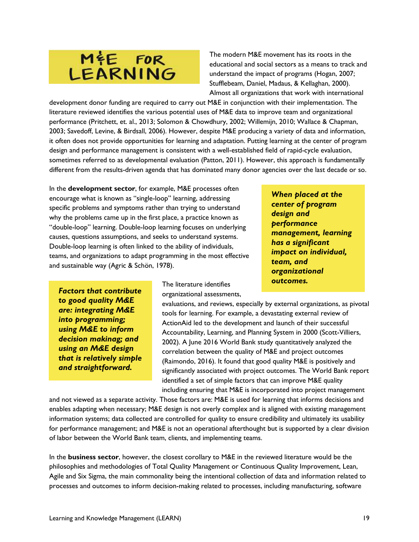## ME FOR<br>LEARNING

The modern M&E movement has its roots in the educational and social sectors as a means to track and understand the impact of programs (Hogan, 2007; Stufflebeam, Daniel, Madaus, & Kellaghan, 2000). Almost all organizations that work with international

development donor funding are required to carry out M&E in conjunction with their implementation. The literature reviewed identifies the various potential uses of M&E data to improve team and organizational performance (Pritchett, et. al., 2013; Solomon & Chowdhury, 2002; Willemijn, 2010; Wallace & Chapman, 2003; Savedoff, Levine, & Birdsall, 2006). However, despite M&E producing a variety of data and information, it often does not provide opportunities for learning and adaptation. Putting learning at the center of program design and performance management is consistent with a well-established field of rapid-cycle evaluation, sometimes referred to as developmental evaluation (Patton, 2011). However, this approach is fundamentally different from the results-driven agenda that has dominated many donor agencies over the last decade or so.

In the **development sector**, for example, M&E processes often encourage what is known as "single-loop" learning, addressing specific problems and symptoms rather than trying to understand why the problems came up in the first place, a practice known as "double-loop" learning. Double-loop learning focuses on underlying causes, questions assumptions, and seeks to understand systems. Double-loop learning is often linked to the ability of individuals, teams, and organizations to adapt programming in the most effective and sustainable way (Agric & Schön, 1978).

*Factors that contribute to good quality M&E are: integrating M&E into programming; using M&E to inform decision makinag; and using an M&E design that is relatively simple and straightforward.* 

The literature identifies organizational assessments,

evaluations, and reviews, especially by external organizations, as pivotal tools for learning. For example, a devastating external review of ActionAid led to the development and launch of their successful Accountability, Learning, and Planning System in 2000 (Scott-Villiers, 2002). A June 2016 World Bank study quantitatively analyzed the correlation between the quality of M&E and project outcomes (Raimondo, 2016). It found that good quality M&E is positively and significantly associated with project outcomes. The World Bank report identified a set of simple factors that can improve M&E quality including ensuring that M&E is incorporated into project management

and not viewed as a separate activity. Those factors are: M&E is used for learning that informs decisions and enables adapting when necessary; M&E design is not overly complex and is aligned with existing management information systems; data collected are controlled for quality to ensure credibility and ultimately its usability for performance management; and M&E is not an operational afterthought but is supported by a clear division of labor between the World Bank team, clients, and implementing teams.

In the **business sector**, however, the closest corollary to M&E in the reviewed literature would be the philosophies and methodologies of Total Quality Management or Continuous Quality Improvement, Lean, Agile and Six Sigma, the main commonality being the intentional collection of data and information related to processes and outcomes to inform decision-making related to processes, including manufacturing, software

*When placed at the center of program design and performance management, learning has a significant impact on individual, team, and organizational outcomes.*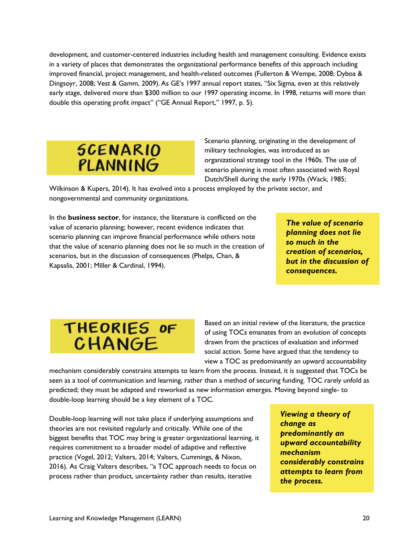development, and customer-centered industries including health and management consulting. Evidence exists in a variety of places that demonstrates the organizational performance benefits of this approach including improved financial, project management, and health-related outcomes (Fullerton & Wempe, 2008; Dyboa & Dingsoyr, 2008; Vest & Gamm, 2009). As GE's 1997 annual report states, "Six Sigma, even at this relatively early stage, delivered more than \$300 million to our 1997 operating income. In 1998, returns will more than double this operating profit impact" ("GE Annual Report," 1997, p. 5).



Scenario planning, originating in the development of military technologies, was introduced as an organizational strategy tool in the 1960s. The use of scenario planning is most often associated with Royal Dutch/Shell during the early 1970s (Wack, 1985;

Wilkinson & Kupers, 2014). It has evolved into a process employed by the private sector, and nongovernmental and community organizations.

In the **business sector**, for instance, the literature is conflicted on the value of scenario planning; however, recent evidence indicates that scenario planning can improve financial performance while others note that the value of scenario planning does not lie so much in the creation of scenarios, but in the discussion of consequences (Phelps, Chan, & Kapsalis, 2001; Miller & Cardinal, 1994).

*The value of scenario planning does not lie so much in the creation of scenarios, but in the discussion of consequences.* 

## THEORIES OF CHANGE

Based on an initial review of the literature, the practice of using TOCs emanates from an evolution of concepts drawn from the practices of evaluation and informed social action. Some have argued that the tendency to view a TOC as predominantly an upward accountability

mechanism considerably constrains attempts to learn from the process. Instead, it is suggested that TOCs be seen as a tool of communication and learning, rather than a method of securing funding. TOC rarely unfold as predicted; they must be adapted and reworked as new information emerges. Moving beyond single- to double-loop learning should be a key element of a TOC.

Double-loop learning will not take place if underlying assumptions and theories are not revisited regularly and critically. While one of the biggest benefits that TOC may bring is greater organizational learning, it requires commitment to a broader model of adaptive and reflective practice (Vogel, 2012; Valters, 2014; Valters, Cummings, & Nixon, 2016). As Craig Valters describes, "a TOC approach needs to focus on process rather than product, uncertainty rather than results, iterative

*Viewing a theory of change as predominantly an upward accountability mechanism considerably constrains attempts to learn from the process.*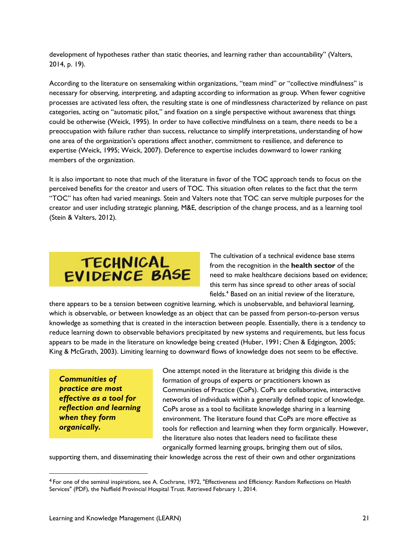development of hypotheses rather than static theories, and learning rather than accountability" (Valters, 2014, p. 19).

According to the literature on sensemaking within organizations, "team mind" or "collective mindfulness" is necessary for observing, interpreting, and adapting according to information as group. When fewer cognitive processes are activated less often, the resulting state is one of mindlessness characterized by reliance on past categories, acting on "automatic pilot," and fixation on a single perspective without awareness that things could be otherwise (Weick, 1995). In order to have collective mindfulness on a team, there needs to be a preoccupation with failure rather than success, reluctance to simplify interpretations, understanding of how one area of the organization's operations affect another, commitment to resilience, and deference to expertise (Weick, 1995; Weick, 2007). Deference to expertise includes downward to lower ranking members of the organization.

It is also important to note that much of the literature in favor of the TOC approach tends to focus on the perceived benefits for the creator and users of TOC. This situation often relates to the fact that the term "TOC" has often had varied meanings. Stein and Valters note that TOC can serve multiple purposes for the creator and user including strategic planning, M&E, description of the change process, and as a learning tool (Stein & Valters, 2012).



The cultivation of a technical evidence base stems from the recognition in the **health sector** of the need to make healthcare decisions based on evidence; this term has since spread to other areas of social fields.<sup>4</sup> Based on an initial review of the literature,

there appears to be a tension between cognitive learning, which is unobservable, and behavioral learning, which is observable, or between knowledge as an object that can be passed from person-to-person versus knowledge as something that is created in the interaction between people. Essentially, there is a tendency to reduce learning down to observable behaviors precipitated by new systems and requirements, but less focus appears to be made in the literature on knowledge being created (Huber, 1991; Chen & Edgington, 2005; King & McGrath, 2003). Limiting learning to downward flows of knowledge does not seem to be effective.

*Communities of practice are most effective as a tool for reflection and learning when they form organically.*

One attempt noted in the literature at bridging this divide is the formation of groups of experts or practitioners known as Communities of Practice (CoPs). CoPs are collaborative, interactive networks of individuals within a generally defined topic of knowledge. CoPs arose as a tool to facilitate knowledge sharing in a learning environment. The literature found that CoPs are more effective as tools for reflection and learning when they form organically. However, the literature also notes that leaders need to facilitate these organically formed learning groups, bringing them out of silos,

supporting them, and disseminating their knowledge across the rest of their own and other organizations

<sup>4</sup> For one of the seminal inspirations, see A. Cochrane, 1972, ["Effectiveness and Efficiency: Random Reflections on Health](http://www.nuffieldtrust.org.uk/sites/files/nuffield/publication/Effectiveness_and_Efficiency.pdf)  [Services"](http://www.nuffieldtrust.org.uk/sites/files/nuffield/publication/Effectiveness_and_Efficiency.pdf) (PDF), the Nuffield Provincial Hospital Trust. Retrieved February 1, 2014.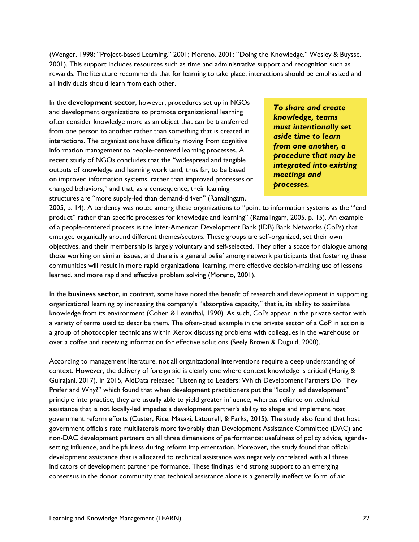(Wenger, 1998; "Project-based Learning," 2001; Moreno, 2001; "Doing the Knowledge," Wesley & Buysse, 2001). This support includes resources such as time and administrative support and recognition such as rewards. The literature recommends that for learning to take place, interactions should be emphasized and all individuals should learn from each other.

In the **development sector**, however, procedures set up in NGOs and development organizations to promote organizational learning often consider knowledge more as an object that can be transferred from one person to another rather than something that is created in interactions. The organizations have difficulty moving from cognitive information management to people-centered learning processes. A recent study of NGOs concludes that the "widespread and tangible outputs of knowledge and learning work tend, thus far, to be based on improved information systems, rather than improved processes or changed behaviors," and that, as a consequence, their learning structures are "more supply-led than demand-driven" (Ramalingam,

*To share and create knowledge, teams must intentionally set aside time to learn from one another, a procedure that may be integrated into existing meetings and processes.* 

2005, p. 14). A tendency was noted among these organizations to "point to information systems as the "'end product" rather than specific processes for knowledge and learning" (Ramalingam, 2005, p. 15). An example of a people-centered process is the Inter-American Development Bank (IDB) Bank Networks (CoPs) that emerged organically around different themes/sectors. These groups are self-organized, set their own objectives, and their membership is largely voluntary and self-selected. They offer a space for dialogue among those working on similar issues, and there is a general belief among network participants that fostering these communities will result in more rapid organizational learning, more effective decision-making use of lessons learned, and more rapid and effective problem solving (Moreno, 2001).

In the **business sector**, in contrast, some have noted the benefit of research and development in supporting organizational learning by increasing the company's "absorptive capacity," that is, its ability to assimilate knowledge from its environment (Cohen & Levinthal, 1990). As such, CoPs appear in the private sector with a variety of terms used to describe them. The often-cited example in the private sector of a CoP in action is a group of photocopier technicians within Xerox discussing problems with colleagues in the warehouse or over a coffee and receiving information for effective solutions (Seely Brown & Duguid, 2000).

According to management literature, not all organizational interventions require a deep understanding of context. However, the delivery of foreign aid is clearly one where context knowledge is critical (Honig & Gulrajani, 2017). In 2015, AidData released "Listening to Leaders: Which Development Partners Do They Prefer and Why?" which found that when development practitioners put the "locally led development" principle into practice, they are usually able to yield greater influence, whereas reliance on technical assistance that is not locally-led impedes a development partner's ability to shape and implement host government reform efforts (Custer, Rice, Masaki, Latourell, & Parks, 2015). The study also found that host government officials rate multilaterals more favorably than Development Assistance Committee (DAC) and non-DAC development partners on all three dimensions of performance: usefulness of policy advice, agendasetting influence, and helpfulness during reform implementation. Moreover, the study found that official development assistance that is allocated to technical assistance was negatively correlated with all three indicators of development partner performance. These findings lend strong support to an emerging consensus in the donor community that technical assistance alone is a generally ineffective form of aid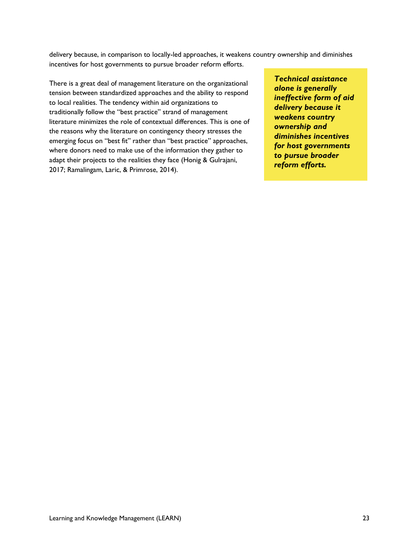delivery because, in comparison to locally-led approaches, it weakens country ownership and diminishes incentives for host governments to pursue broader reform efforts.

There is a great deal of management literature on the organizational tension between standardized approaches and the ability to respond to local realities. The tendency within aid organizations to traditionally follow the "best practice" strand of management literature minimizes the role of contextual differences. This is one of the reasons why the literature on contingency theory stresses the emerging focus on "best fit" rather than "best practice" approaches, where donors need to make use of the information they gather to adapt their projects to the realities they face (Honig & Gulrajani, 2017; Ramalingam, Laric, & Primrose, 2014).

*Technical assistance alone is generally ineffective form of aid delivery because it weakens country ownership and diminishes incentives for host governments to pursue broader reform efforts.*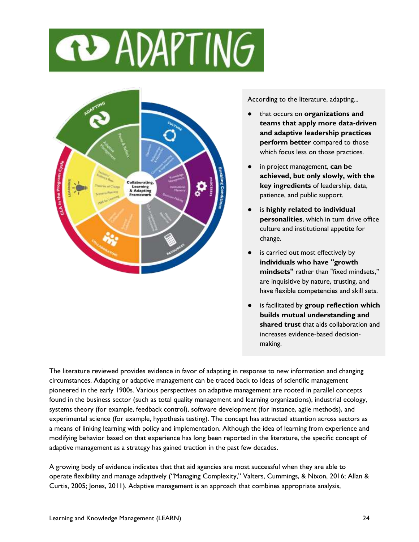



According to the literature, adapting...

- that occurs on **organizations and teams that apply more data-driven and adaptive leadership practices perform better** compared to those which focus less on those practices.
- in project management, can be **achieved, but only slowly, with the key ingredients** of leadership, data, patience, and public support.
- is **highly related to individual personalities**, which in turn drive office culture and institutional appetite for change.
- is carried out most effectively by **individuals who have "growth mindsets"** rather than "fixed mindsets," are inquisitive by nature, trusting, and have flexible competencies and skill sets.
- is facilitated by **group reflection which builds mutual understanding and shared trust** that aids collaboration and increases evidence-based decisionmaking.

The literature reviewed provides evidence in favor of adapting in response to new information and changing circumstances. Adapting or adaptive management can be traced back to ideas of scientific management pioneered in the early 1900s. Various perspectives on adaptive management are rooted in parallel concepts found in the business sector (such as total quality management and learning organizations), industrial ecology, systems theory (for example, feedback control), software development (for instance, agile methods), and experimental science (for example, hypothesis testing). The concept has attracted attention across sectors as a means of linking learning with policy and implementation. Although the idea of learning from experience and modifying behavior based on that experience has long been reported in the literature, the specific concept of adaptive management as a strategy has gained traction in the past few decades.

A growing body of evidence indicates that that aid agencies are most successful when they are able to operate flexibility and manage adaptively ("Managing Complexity," Valters, Cummings, & Nixon, 2016; Allan & Curtis, 2005; Jones, 2011). Adaptive management is an approach that combines appropriate analysis,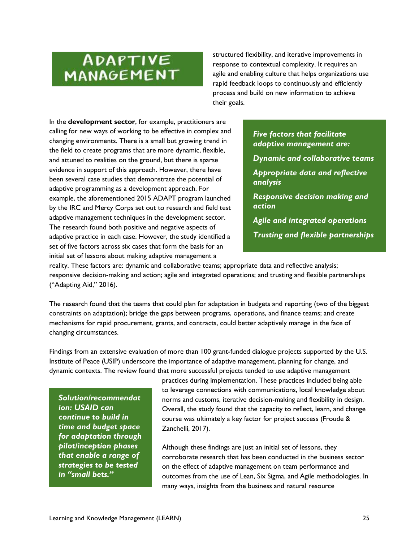## ADAPTIVE MANAGEMENT

structured flexibility, and iterative improvements in response to contextual complexity. It requires an agile and enabling culture that helps organizations use rapid feedback loops to continuously and efficiently process and build on new information to achieve their goals.

In the **development sector**, for example, practitioners are calling for new ways of working to be effective in complex and changing environments. There is a small but growing trend in the field to create programs that are more dynamic, flexible, and attuned to realities on the ground, but there is sparse evidence in support of this approach. However, there have been several case studies that demonstrate the potential of adaptive programming as a development approach. For example, the aforementioned 2015 ADAPT program launched by the IRC and Mercy Corps set out to research and field test adaptive management techniques in the development sector. The research found both positive and negative aspects of adaptive practice in each case. However, the study identified a set of five factors across six cases that form the basis for an initial set of lessons about making adaptive management a

*Five factors that facilitate adaptive management are:*

*Dynamic and collaborative teams*

*Appropriate data and reflective analysis*

*Responsive decision making and action*

*Agile and integrated operations Trusting and flexible partnerships*

reality. These factors are: dynamic and collaborative teams; appropriate data and reflective analysis; responsive decision-making and action; agile and integrated operations; and trusting and flexible partnerships ("Adapting Aid," 2016).

The research found that the teams that could plan for adaptation in budgets and reporting (two of the biggest constraints on adaptation); bridge the gaps between programs, operations, and finance teams; and create mechanisms for rapid procurement, grants, and contracts, could better adaptively manage in the face of changing circumstances.

Findings from an extensive evaluation of more than 100 grant-funded dialogue projects supported by the U.S. Institute of Peace (USIP) underscore the importance of adaptive management, planning for change, and dynamic contexts. The review found that more successful projects tended to use adaptive management

*Solution/recommendat ion: USAID can continue to build in time and budget space for adaptation through pilot/inception phases that enable a range of strategies to be tested in "small bets."*

practices during implementation. These practices included being able to leverage connections with communications, local knowledge about norms and customs, iterative decision-making and flexibility in design. Overall, the study found that the capacity to reflect, learn, and change course was ultimately a key factor for project success (Froude & Zanchelli, 2017).

Although these findings are just an initial set of lessons, they corroborate research that has been conducted in the business sector on the effect of adaptive management on team performance and outcomes from the use of Lean, Six Sigma, and Agile methodologies. In many ways, insights from the business and natural resource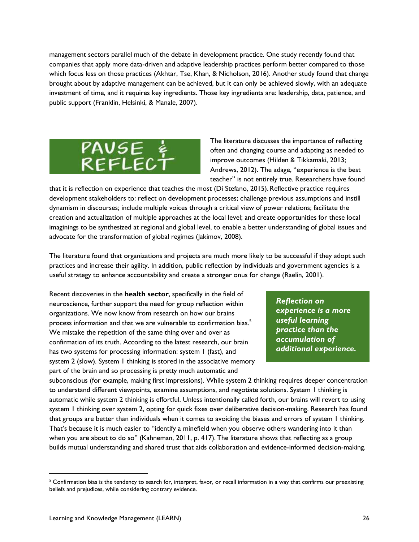management sectors parallel much of the debate in development practice. One study recently found that companies that apply more data-driven and adaptive leadership practices perform better compared to those which focus less on those practices (Akhtar, Tse, Khan, & Nicholson, 2016). Another study found that change brought about by adaptive management can be achieved, but it can only be achieved slowly, with an adequate investment of time, and it requires key ingredients. Those key ingredients are: leadership, data, patience, and public support (Franklin, Helsinki, & Manale, 2007).



The literature discusses the importance of reflecting often and changing course and adapting as needed to improve outcomes (Hilden & Tikkamaki, 2013; Andrews, 2012). The adage, "experience is the best teacher" is not entirely true. Researchers have found

that it is reflection on experience that teaches the most (Di Stefano, 2015). Reflective practice requires development stakeholders to: reflect on development processes; challenge previous assumptions and instill dynamism in discourses; include multiple voices through a critical view of power relations; facilitate the creation and actualization of multiple approaches at the local level; and create opportunities for these local imaginings to be synthesized at regional and global level, to enable a better understanding of global issues and advocate for the transformation of global regimes (Jakimov, 2008).

The literature found that organizations and projects are much more likely to be successful if they adopt such practices and increase their agility. In addition, public reflection by individuals and government agencies is a useful strategy to enhance accountability and create a stronger onus for change (Raelin, 2001).

Recent discoveries in the **health sector**, specifically in the field of neuroscience, further support the need for group reflection within organizations. We now know from research on how our brains process information and that we are vulnerable to confirmation bias.<sup>5</sup> We mistake the repetition of the same thing over and over as confirmation of its truth. According to the latest research, our brain has two systems for processing information: system 1 (fast), and system 2 (slow). System 1 thinking is stored in the associative memory part of the brain and so processing is pretty much automatic and

*Reflection on experience is a more useful learning practice than the accumulation of additional experience.*

subconscious (for example, making first impressions). While system 2 thinking requires deeper concentration to understand different viewpoints, examine assumptions, and negotiate solutions. System 1 thinking is automatic while system 2 thinking is effortful. Unless intentionally called forth, our brains will revert to using system 1 thinking over system 2, opting for quick fixes over deliberative decision-making. Research has found that groups are better than individuals when it comes to avoiding the biases and errors of system 1 thinking. That's because it is much easier to "identify a minefield when you observe others wandering into it than when you are about to do so" (Kahneman, 2011, p. 417). The literature shows that reflecting as a group builds mutual understanding and shared trust that aids collaboration and evidence-informed decision-making.

<sup>&</sup>lt;sup>5</sup> Confirmation bias is the tendency to search for, interpret, favor, or recall information in a way that confirms our preexisting beliefs and prejudices, while considering contrary evidence.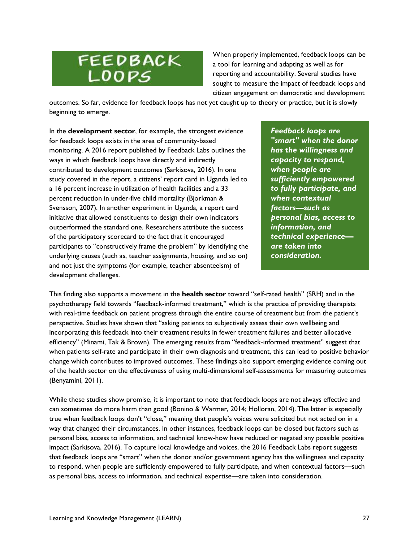## FEEDBACK LOOPS

When properly implemented, feedback loops can be a tool for learning and adapting as well as for reporting and accountability. Several studies have sought to measure the impact of feedback loops and citizen engagement on democratic and development

outcomes. So far, evidence for feedback loops has not yet caught up to theory or practice, but it is slowly beginning to emerge.

In the **development sector**, for example, the strongest evidence for feedback loops exists in the area of community-based monitoring. A 2016 report published by Feedback Labs outlines the ways in which feedback loops have directly and indirectly contributed to development outcomes (Sarkisova, 2016). In one study covered in the report, a citizens' report card in Uganda led to a 16 percent increase in utilization of health facilities and a 33 percent reduction in under-five child mortality (Bjorkman & Svensson, 2007). In another experiment in Uganda, a report card initiative that allowed constituents to design their own indicators outperformed the standard one. Researchers attribute the success of the participatory scorecard to the fact that it encouraged participants to "constructively frame the problem" by identifying the underlying causes (such as, teacher assignments, housing, and so on) and not just the symptoms (for example, teacher absenteeism) of development challenges.

*Feedback loops are "smart" when the donor has the willingness and capacity to respond, when people are sufficiently empowered to fully participate, and when contextual factors—such as personal bias, access to information, and technical experience are taken into consideration.*

This finding also supports a movement in the **health sector** toward "self-rated health" (SRH) and in the psychotherapy field towards "feedback-informed treatment," which is the practice of providing therapists with real-time feedback on patient progress through the entire course of treatment but from the patient's perspective. Studies have shown that "asking patients to subjectively assess their own wellbeing and incorporating this feedback into their treatment results in fewer treatment failures and better allocative efficiency" (Minami, Tak & Brown). The emerging results from "feedback-informed treatment" suggest that when patients self-rate and participate in their own diagnosis and treatment, this can lead to positive behavior change which contributes to improved outcomes. These findings also support emerging evidence coming out of the health sector on the effectiveness of using multi-dimensional self-assessments for measuring outcomes (Benyamini, 2011).

While these studies show promise, it is important to note that feedback loops are not always effective and can sometimes do more harm than good (Bonino & Warmer, 2014; Holloran, 2014). The latter is especially true when feedback loops don't "close," meaning that people's voices were solicited but not acted on in a way that changed their circumstances. In other instances, feedback loops can be closed but factors such as personal bias, access to information, and technical know-how have reduced or negated any possible positive impact (Sarkisova, 2016). To capture local knowledge and voices, the 2016 Feedback Labs report suggests that feedback loops are "smart" when the donor and/or government agency has the willingness and capacity to respond, when people are sufficiently empowered to fully participate, and when contextual factors—such as personal bias, access to information, and technical expertise—are taken into consideration.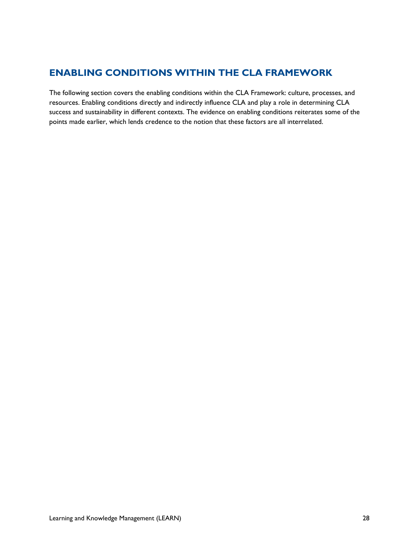## <span id="page-27-0"></span>**ENABLING CONDITIONS WITHIN THE CLA FRAMEWORK**

The following section covers the enabling conditions within the CLA Framework: culture, processes, and resources. Enabling conditions directly and indirectly influence CLA and play a role in determining CLA success and sustainability in different contexts. The evidence on enabling conditions reiterates some of the points made earlier, which lends credence to the notion that these factors are all interrelated.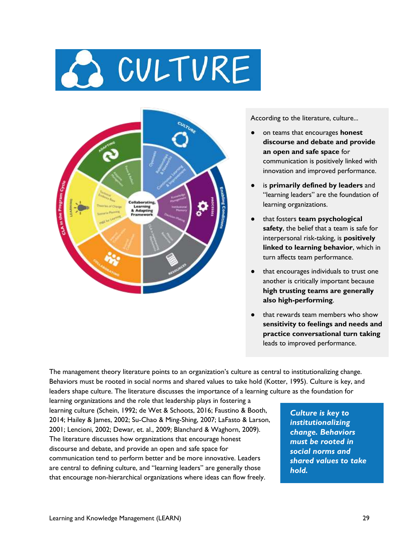## A CULTURE



According to the literature, culture...

- on teams that encourages **honest discourse and debate and provide an open and safe space** for communication is positively linked with innovation and improved performance.
- is **primarily defined by leaders** and "learning leaders" are the foundation of learning organizations.
- that fosters **team psychological safety**, the belief that a team is safe for interpersonal risk-taking, is **positively linked to learning behavior**, which in turn affects team performance.
- that encourages individuals to trust one another is critically important because **high trusting teams are generally also high-performing**.
- that rewards team members who show **sensitivity to feelings and needs and practice conversational turn taking** leads to improved performance.

The management theory literature points to an organization's culture as central to institutionalizing change. Behaviors must be rooted in social norms and shared values to take hold (Kotter, 1995). Culture is key, and leaders shape culture. The literature discusses the importance of a learning culture as the foundation for

learning organizations and the role that leadership plays in fostering a learning culture (Schein, 1992; de Wet & Schoots, 2016; Faustino & Booth, 2014; Hailey & James, 2002; Su-Chao & Ming-Shing, 2007; LaFasto & Larson, 2001; Lencioni, 2002; Dewar, et. al., 2009; Blanchard & Waghorn, 2009). The literature discusses how organizations that encourage honest discourse and debate, and provide an open and safe space for communication tend to perform better and be more innovative. Leaders are central to defining culture, and "learning leaders" are generally those that encourage non-hierarchical organizations where ideas can flow freely.

*Culture is key to institutionalizing change. Behaviors must be rooted in social norms and shared values to take hold.*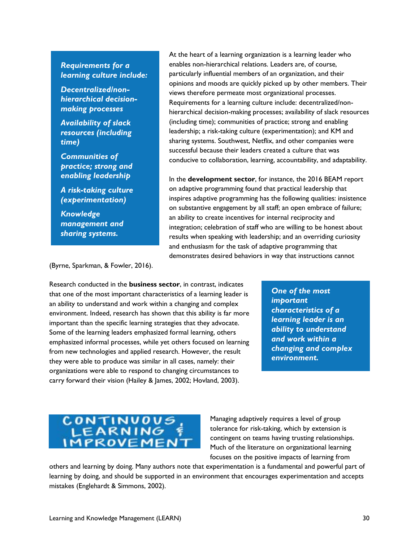### *Requirements for a learning culture include:*

*Decentralized/nonhierarchical decisionmaking processes*

*Availability of slack resources (including time)*

*Communities of practice; strong and enabling leadership*

*A risk-taking culture (experimentation)*

*Knowledge management and sharing systems.*

At the heart of a learning organization is a learning leader who enables non-hierarchical relations. Leaders are, of course, particularly influential members of an organization, and their opinions and moods are quickly picked up by other members. Their views therefore permeate most organizational processes. Requirements for a learning culture include: decentralized/nonhierarchical decision-making processes; availability of slack resources (including time); communities of practice; strong and enabling leadership; a risk-taking culture (experimentation); and KM and sharing systems. Southwest, Netflix, and other companies were successful because their leaders created a culture that was conducive to collaboration, learning, accountability, and adaptability.

In the **development sector**, for instance, the 2016 BEAM report on adaptive programming found that practical leadership that inspires adaptive programming has the following qualities: insistence on substantive engagement by all staff; an open embrace of failure; an ability to create incentives for internal reciprocity and integration; celebration of staff who are willing to be honest about results when speaking with leadership; and an overriding curiosity and enthusiasm for the task of adaptive programming that demonstrates desired behaviors in way that instructions cannot

(Byrne, Sparkman, & Fowler, 2016).

Research conducted in the **business sector**, in contrast, indicates that one of the most important characteristics of a learning leader is an ability to understand and work within a changing and complex environment. Indeed, research has shown that this ability is far more important than the specific learning strategies that they advocate. Some of the learning leaders emphasized formal learning, others emphasized informal processes, while yet others focused on learning from new technologies and applied research. However, the result they were able to produce was similar in all cases, namely: their organizations were able to respond to changing circumstances to carry forward their vision (Hailey & James, 2002; Hovland, 2003).

*One of the most important characteristics of a learning leader is an ability to understand and work within a changing and complex environment.* 

## CONTINUOUS **IMPROVEMEN**

Managing adaptively requires a level of group tolerance for risk-taking, which by extension is contingent on teams having trusting relationships. Much of the literature on organizational learning focuses on the positive impacts of learning from

others and learning by doing. Many authors note that experimentation is a fundamental and powerful part of learning by doing, and should be supported in an environment that encourages experimentation and accepts mistakes (Englehardt & Simmons, 2002).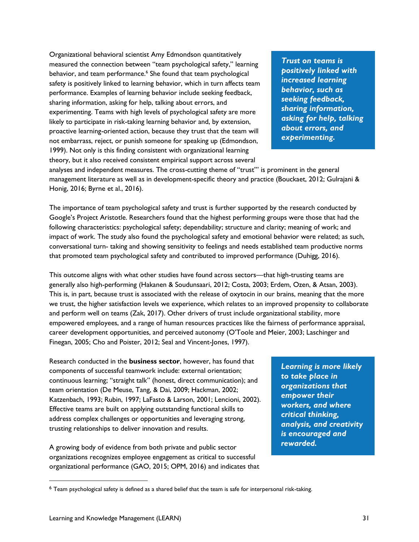Organizational behavioral scientist Amy Edmondson quantitatively measured the connection between "team psychological safety," learning behavior, and team performance.<sup>6</sup> She found that team psychological safety is positively linked to learning behavior, which in turn affects team performance. Examples of learning behavior include seeking feedback, sharing information, asking for help, talking about errors, and experimenting. Teams with high levels of psychological safety are more likely to participate in risk-taking learning behavior and, by extension, proactive learning-oriented action, because they trust that the team will not embarrass, reject, or punish someone for speaking up (Edmondson, 1999). Not only is this finding consistent with organizational learning theory, but it also received consistent empirical support across several

*Trust on teams is positively linked with increased learning behavior, such as seeking feedback, sharing information, asking for help, talking about errors, and experimenting.*

analyses and independent measures. The cross-cutting theme of "trust'" is prominent in the general management literature as well as in development-specific theory and practice (Bouckaet, 2012; Gulrajani & Honig, 2016; Byrne et al., 2016).

The importance of team psychological safety and trust is further supported by the research conducted by Google's Project Aristotle. Researchers found that the highest performing groups were those that had the following characteristics: psychological safety; dependability; structure and clarity; meaning of work; and impact of work. The study also found the psychological safety and emotional behavior were related; as such, conversational turn- taking and showing sensitivity to feelings and needs established team productive norms that promoted team psychological safety and contributed to improved performance (Duhigg, 2016).

This outcome aligns with what other studies have found across sectors—that high-trusting teams are generally also high-performing (Hakanen & Soudunsaari, 2012; Costa, 2003; Erdem, Ozen, & Atsan, 2003). This is, in part, because trust is associated with the release of oxytocin in our brains, meaning that the more we trust, the higher satisfaction levels we experience, which relates to an improved propensity to collaborate and perform well on teams (Zak, 2017). Other drivers of trust include organizational stability, more empowered employees, and a range of human resources practices like the fairness of performance appraisal, career development opportunities, and perceived autonomy (O'Toole and Meier, 2003; Laschinger and Finegan, 2005; Cho and Poister, 2012; Seal and Vincent-Jones, 1997).

Research conducted in the **business sector**, however, has found that components of successful teamwork include: external orientation; continuous learning; "straight talk" (honest, direct communication); and team orientation (De Meuse, Tang, & Dai, 2009; Hackman, 2002; Katzenbach, 1993; Rubin, 1997; LaFasto & Larson, 2001; Lencioni, 2002). Effective teams are built on applying outstanding functional skills to address complex challenges or opportunities and leveraging strong, trusting relationships to deliver innovation and results.

A growing body of evidence from both private and public sector organizations recognizes employee engagement as critical to successful organizational performance (GAO, 2015; OPM, 2016) and indicates that *Learning is more likely to take place in organizations that empower their workers, and where critical thinking, analysis, and creativity is encouraged and rewarded.*

<sup>6</sup> Team psychological safety is defined as a shared belief that the team is safe for interpersonal risk-taking.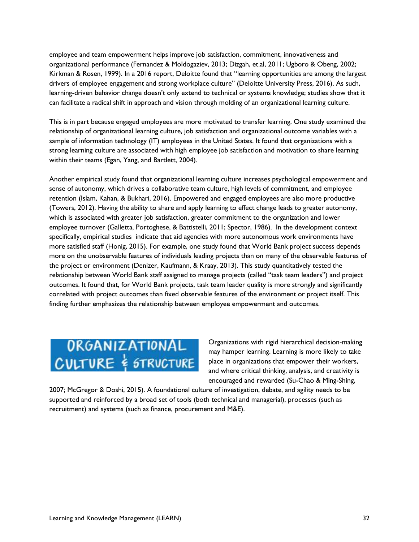employee and team empowerment helps improve job satisfaction, commitment, innovativeness and organizational performance (Fernandez & Moldogaziev, 2013; Dizgah, et.al, 2011; Ugboro & Obeng, 2002; Kirkman & Rosen, 1999). In a 2016 report, Deloitte found that "learning opportunities are among the largest drivers of employee engagement and strong workplace culture" (Deloitte University Press, 2016). As such, learning-driven behavior change doesn't only extend to technical or systems knowledge; studies show that it can facilitate a radical shift in approach and vision through molding of an organizational learning culture.

This is in part because engaged employees are more motivated to transfer learning. One study examined the relationship of organizational learning culture, job satisfaction and organizational outcome variables with a sample of information technology (IT) employees in the United States. It found that organizations with a strong learning culture are associated with high employee job satisfaction and motivation to share learning within their teams (Egan, Yang, and Bartlett, 2004).

Another empirical study found that organizational learning culture increases psychological empowerment and sense of autonomy, which drives a collaborative team culture, high levels of commitment, and employee retention (Islam, Kahan, & Bukhari, 2016). Empowered and engaged employees are also more productive (Towers, 2012). Having the ability to share and apply learning to effect change leads to greater autonomy, which is associated with greater job satisfaction, greater commitment to the organization and lower employee turnover (Galletta, Portoghese, & Battistelli, 2011; Spector, 1986). In the development context specifically, empirical studies indicate that aid agencies with more autonomous work environments have more satisfied staff (Honig, 2015). For example, one study found that World Bank project success depends more on the unobservable features of individuals leading projects than on many of the observable features of the project or environment (Denizer, Kaufmann, & Kraay, 2013). This study quantitatively tested the relationship between World Bank staff assigned to manage projects (called "task team leaders") and project outcomes. It found that, for World Bank projects, task team leader quality is more strongly and significantly correlated with project outcomes than fixed observable features of the environment or project itself. This finding further emphasizes the relationship between employee empowerment and outcomes.

## ORGANIZATIONAL<br>CULTURE & STRUCTURE

Organizations with rigid hierarchical decision-making may hamper learning. Learning is more likely to take place in organizations that empower their workers, and where critical thinking, analysis, and creativity is encouraged and rewarded (Su-Chao & Ming-Shing,

2007; McGregor & Doshi, 2015). A foundational culture of investigation, debate, and agility needs to be supported and reinforced by a broad set of tools (both technical and managerial), processes (such as recruitment) and systems (such as finance, procurement and M&E).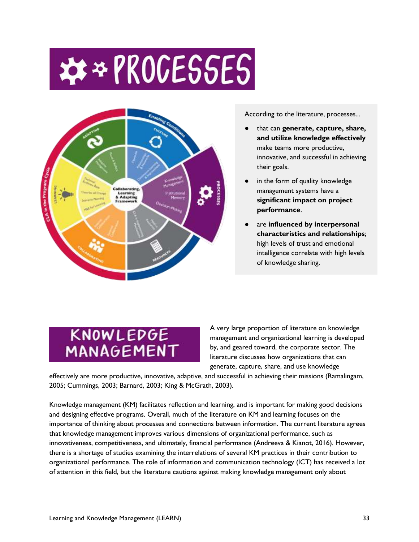## \*\* PROCESSES



According to the literature, processes...

- that can **generate, capture, share, and utilize knowledge effectively** make teams more productive, innovative, and successful in achieving their goals.
- in the form of quality knowledge management systems have a **significant impact on project performance**.
- are **influenced** by interpersonal **characteristics and relationships**; high levels of trust and emotional intelligence correlate with high levels of knowledge sharing.

## KNOWLEDGE MANAGEMENT

A very large proportion of literature on knowledge management and organizational learning is developed by, and geared toward, the corporate sector. The literature discusses how organizations that can generate, capture, share, and use knowledge

effectively are more productive, innovative, adaptive, and successful in achieving their missions (Ramalingam, 2005; Cummings, 2003; Barnard, 2003; King & McGrath, 2003).

Knowledge management (KM) facilitates reflection and learning, and is important for making good decisions and designing effective programs. Overall, much of the literature on KM and learning focuses on the importance of thinking about processes and connections between information. The current literature agrees that knowledge management improves various dimensions of organizational performance, such as innovativeness, competitiveness, and ultimately, financial performance (Andreeva & Kianot, 2016). However, there is a shortage of studies examining the interrelations of several KM practices in their contribution to organizational performance. The role of information and communication technology (ICT) has received a lot of attention in this field, but the literature cautions against making knowledge management only about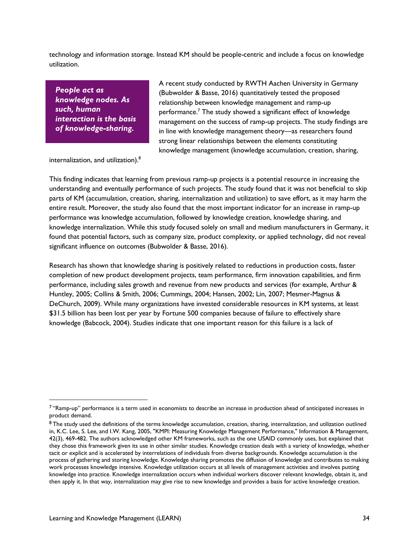technology and information storage. Instead KM should be people-centric and include a focus on knowledge utilization.

*People act as knowledge nodes. As such, human interaction is the basis of knowledge-sharing.*

A recent study conducted by RWTH Aachen University in Germany (Bubwolder & Basse, 2016) quantitatively tested the proposed relationship between knowledge management and ramp-up performance.<sup>7</sup> The study showed a significant effect of knowledge management on the success of ramp-up projects. The study findings are in line with knowledge management theory—as researchers found strong linear relationships between the elements constituting knowledge management (knowledge accumulation, creation, sharing,

internalization, and utilization).<sup>8</sup>

This finding indicates that learning from previous ramp-up projects is a potential resource in increasing the understanding and eventually performance of such projects. The study found that it was not beneficial to skip parts of KM (accumulation, creation, sharing, internalization and utilization) to save effort, as it may harm the entire result. Moreover, the study also found that the most important indicator for an increase in ramp-up performance was knowledge accumulation, followed by knowledge creation, knowledge sharing, and knowledge internalization. While this study focused solely on small and medium manufacturers in Germany, it found that potential factors, such as company size, product complexity, or applied technology, did not reveal significant influence on outcomes (Bubwolder & Basse, 2016).

Research has shown that knowledge sharing is positively related to reductions in production costs, faster completion of new product development projects, team performance, firm innovation capabilities, and firm performance, including sales growth and revenue from new products and services (for example, Arthur & Huntley, 2005; Collins & Smith, 2006; Cummings, 2004; Hansen, 2002; Lin, 2007; Mesmer-Magnus & DeChurch, 2009). While many organizations have invested considerable resources in KM systems, at least \$31.5 billion has been lost per year by Fortune 500 companies because of failure to effectively share knowledge (Babcock, 2004). Studies indicate that one important reason for this failure is a lack of

<sup>7</sup> "Ramp-up" performance is a term used in economists to describe an increase in production ahead of anticipated increases in product demand.

<sup>8</sup> The study used the definitions of the terms knowledge accumulation, creation, sharing, internalization, and utilization outlined in, K.C. Lee, S. Lee, and I.W. Kang, 2005, "KMPI: Measuring Knowledge Management Performance," Information & Management, 42(3), 469-482. The authors acknowledged other KM frameworks, such as the one USAID commonly uses, but explained that they chose this framework given its use in other similar studies. Knowledge creation deals with a variety of knowledge, whether tacit or explicit and is accelerated by interrelations of individuals from diverse backgrounds. Knowledge accumulation is the process of gathering and storing knowledge. Knowledge sharing promotes the diffusion of knowledge and contributes to making work processes knowledge intensive. Knowledge utilization occurs at all levels of management activities and involves putting knowledge into practice. Knowledge internalization occurs when individual workers discover relevant knowledge, obtain it, and then apply it. In that way, internalization may give rise to new knowledge and provides a basis for active knowledge creation.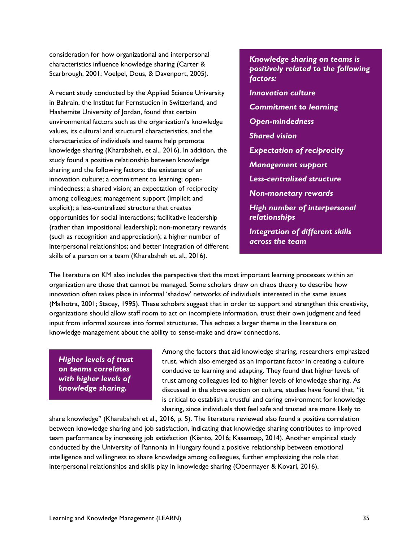consideration for how organizational and interpersonal characteristics influence knowledge sharing (Carter & Scarbrough, 2001; Voelpel, Dous, & Davenport, 2005).

A recent study conducted by the Applied Science University in Bahrain, the Institut fur Fernstudien in Switzerland, and Hashemite University of Jordan, found that certain environmental factors such as the organization's knowledge values, its cultural and structural characteristics, and the characteristics of individuals and teams help promote knowledge sharing (Kharabsheh, et al., 2016). In addition, the study found a positive relationship between knowledge sharing and the following factors: the existence of an innovation culture; a commitment to learning; openmindedness; a shared vision; an expectation of reciprocity among colleagues; management support (implicit and explicit); a less-centralized structure that creates opportunities for social interactions; facilitative leadership (rather than impositional leadership); non-monetary rewards (such as recognition and appreciation); a higher number of interpersonal relationships; and better integration of different skills of a person on a team (Kharabsheh et. al., 2016).

*Knowledge sharing on teams is positively related to the following factors: Innovation culture Commitment to learning Open-mindedness Shared vision Expectation of reciprocity Management support Less-centralized structure Non-monetary rewards High number of interpersonal relationships Integration of different skills across the team* 

The literature on KM also includes the perspective that the most important learning processes within an organization are those that cannot be managed. Some scholars draw on chaos theory to describe how innovation often takes place in informal 'shadow' networks of individuals interested in the same issues (Malhotra, 2001; Stacey, 1995). These scholars suggest that in order to support and strengthen this creativity, organizations should allow staff room to act on incomplete information, trust their own judgment and feed input from informal sources into formal structures. This echoes a larger theme in the literature on knowledge management about the ability to sense-make and draw connections.

*Higher levels of trust on teams correlates with higher levels of knowledge sharing.* 

Among the factors that aid knowledge sharing, researchers emphasized trust, which also emerged as an important factor in creating a culture conducive to learning and adapting. They found that higher levels of trust among colleagues led to higher levels of knowledge sharing. As discussed in the above section on culture, studies have found that, "it is critical to establish a trustful and caring environment for knowledge sharing, since individuals that feel safe and trusted are more likely to

share knowledge" (Kharabsheh et al., 2016, p. 5). The literature reviewed also found a positive correlation between knowledge sharing and job satisfaction, indicating that knowledge sharing contributes to improved team performance by increasing job satisfaction (Kianto, 2016; Kasemsap, 2014). Another empirical study conducted by the University of Pannonia in Hungary found a positive relationship between emotional intelligence and willingness to share knowledge among colleagues, further emphasizing the role that interpersonal relationships and skills play in knowledge sharing (Obermayer & Kovari, 2016).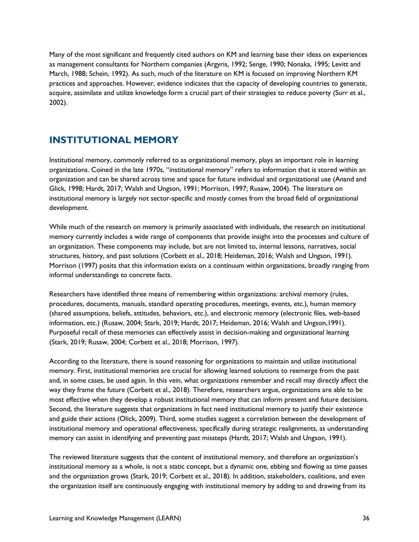Many of the most significant and frequently cited authors on KM and learning base their ideas on experiences as management consultants for Northern companies (Argyris, 1992; Senge, 1990; Nonaka, 1995; Levitt and March, 1988; Schein, 1992). As such, much of the literature on KM is focused on improving Northern KM practices and approaches. However, evidence indicates that the capacity of developing countries to generate, acquire, assimilate and utilize knowledge form a crucial part of their strategies to reduce poverty (Surr et al., 2002).

## <span id="page-35-0"></span>**INSTITUTIONAL MEMORY**

Institutional memory, commonly referred to as organizational memory, plays an important role in learning organizations. Coined in the late 1970s, "institutional memory" refers to information that is stored within an organization and can be shared across time and space for future individual and organizational use (Anand and Glick, 1998; Hardt, 2017; Walsh and Ungson, 1991; Morrison, 1997; Rusaw, 2004). The literature on institutional memory is largely not sector-specific and mostly comes from the broad field of organizational development.

While much of the research on memory is primarily associated with individuals, the research on institutional memory currently includes a wide range of components that provide insight into the processes and culture of an organization. These components may include, but are not limited to, internal lessons, narratives, social structures, history, and past solutions (Corbett et al., 2018; Heideman, 2016; Walsh and Ungson, 1991). Morrison (1997) posits that this information exists on a continuum within organizations, broadly ranging from informal understandings to concrete facts.

Researchers have identified three means of remembering within organizations: archival memory (rules, procedures, documents, manuals, standard operating procedures, meetings, events, etc.), human memory (shared assumptions, beliefs, attitudes, behaviors, etc.), and electronic memory (electronic files, web-based information, etc.) (Rusaw, 2004; Stark, 2019; Hardt, 2017; Heideman, 2016; Walsh and Ungson,1991). Purposeful recall of these memories can effectively assist in decision-making and organizational learning (Stark, 2019; Rusaw, 2004; Corbett et al., 2018; Morrison, 1997).

According to the literature, there is sound reasoning for organizations to maintain and utilize institutional memory. First, institutional memories are crucial for allowing learned solutions to reemerge from the past and, in some cases, be used again. In this vein, what organizations remember and recall may directly affect the way they frame the future (Corbett et al., 2018). Therefore, researchers argue, organizations are able to be most effective when they develop a robust institutional memory that can inform present and future decisions. Second, the literature suggests that organizations in fact need institutional memory to justify their existence and guide their actions (Olick, 2009). Third, some studies suggest a correlation between the development of institutional memory and operational effectiveness, specifically during strategic realignments, as understanding memory can assist in identifying and preventing past missteps (Hardt, 2017; Walsh and Ungson, 1991).

The reviewed literature suggests that the content of institutional memory, and therefore an organization's institutional memory as a whole, is not a static concept, but a dynamic one, ebbing and flowing as time passes and the organization grows (Stark, 2019; Corbett et al., 2018). In addition, stakeholders, coalitions, and even the organization itself are continuously engaging with institutional memory by adding to and drawing from its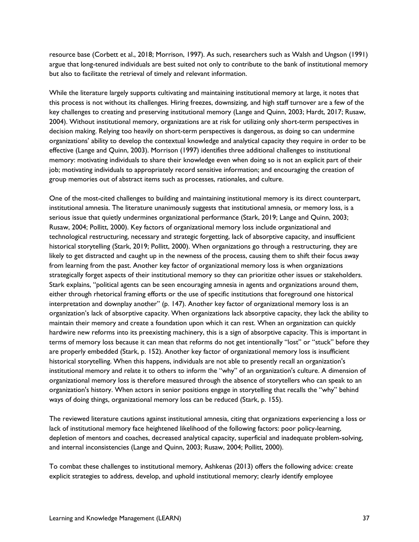resource base (Corbett et al., 2018; Morrison, 1997). As such, researchers such as Walsh and Ungson (1991) argue that long-tenured individuals are best suited not only to contribute to the bank of institutional memory but also to facilitate the retrieval of timely and relevant information.

While the literature largely supports cultivating and maintaining institutional memory at large, it notes that this process is not without its challenges. Hiring freezes, downsizing, and high staff turnover are a few of the key challenges to creating and preserving institutional memory (Lange and Quinn, 2003; Hardt, 2017; Rusaw, 2004). Without institutional memory, organizations are at risk for utilizing only short-term perspectives in decision making. Relying too heavily on short-term perspectives is dangerous, as doing so can undermine organizations' ability to develop the contextual knowledge and analytical capacity they require in order to be effective (Lange and Quinn, 2003). Morrison (1997) identifies three additional challenges to institutional memory: motivating individuals to share their knowledge even when doing so is not an explicit part of their job; motivating individuals to appropriately record sensitive information; and encouraging the creation of group memories out of abstract items such as processes, rationales, and culture.

One of the most-cited challenges to building and maintaining institutional memory is its direct counterpart, institutional amnesia. The literature unanimously suggests that institutional amnesia, or memory loss, is a serious issue that quietly undermines organizational performance (Stark, 2019; Lange and Quinn, 2003; Rusaw, 2004; Pollitt, 2000). Key factors of organizational memory loss include organizational and technological restructuring, necessary and strategic forgetting, lack of absorptive capacity, and insufficient historical storytelling (Stark, 2019; Pollitt, 2000). When organizations go through a restructuring, they are likely to get distracted and caught up in the newness of the process, causing them to shift their focus away from learning from the past. Another key factor of organizational memory loss is when organizations strategically forget aspects of their institutional memory so they can prioritize other issues or stakeholders. Stark explains, "political agents can be seen encouraging amnesia in agents and organizations around them, either through rhetorical framing efforts or the use of specific institutions that foreground one historical interpretation and downplay another" (p. 147). Another key factor of organizational memory loss is an organization's lack of absorptive capacity. When organizations lack absorptive capacity, they lack the ability to maintain their memory and create a foundation upon which it can rest. When an organization can quickly hardwire new reforms into its preexisting machinery, this is a sign of absorptive capacity. This is important in terms of memory loss because it can mean that reforms do not get intentionally "lost" or "stuck" before they are properly embedded (Stark, p. 152). Another key factor of organizational memory loss is insufficient historical storytelling. When this happens, individuals are not able to presently recall an organization's institutional memory and relate it to others to inform the "why" of an organization's culture. A dimension of organizational memory loss is therefore measured through the absence of storytellers who can speak to an organization's history. When actors in senior positions engage in storytelling that recalls the "why" behind ways of doing things, organizational memory loss can be reduced (Stark, p. 155).

The reviewed literature cautions against institutional amnesia, citing that organizations experiencing a loss or lack of institutional memory face heightened likelihood of the following factors: poor policy-learning, depletion of mentors and coaches, decreased analytical capacity, superficial and inadequate problem-solving, and internal inconsistencies (Lange and Quinn, 2003; Rusaw, 2004; Pollitt, 2000).

To combat these challenges to institutional memory, Ashkenas (2013) offers the following advice: create explicit strategies to address, develop, and uphold institutional memory; clearly identify employee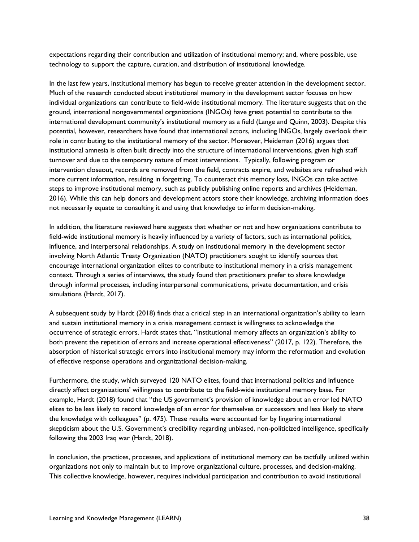expectations regarding their contribution and utilization of institutional memory; and, where possible, use technology to support the capture, curation, and distribution of institutional knowledge.

In the last few years, institutional memory has begun to receive greater attention in the development sector. Much of the research conducted about institutional memory in the development sector focuses on how individual organizations can contribute to field-wide institutional memory. The literature suggests that on the ground, international nongovernmental organizations (INGOs) have great potential to contribute to the international development community's institutional memory as a field (Lange and Quinn, 2003). Despite this potential, however, researchers have found that international actors, including INGOs, largely overlook their role in contributing to the institutional memory of the sector. Moreover, Heideman (2016) argues that institutional amnesia is often built directly into the structure of international interventions, given high staff turnover and due to the temporary nature of most interventions. Typically, following program or intervention closeout, records are removed from the field, contracts expire, and websites are refreshed with more current information, resulting in forgetting. To counteract this memory loss, INGOs can take active steps to improve institutional memory, such as publicly publishing online reports and archives (Heideman, 2016). While this can help donors and development actors store their knowledge, archiving information does not necessarily equate to consulting it and using that knowledge to inform decision-making.

In addition, the literature reviewed here suggests that whether or not and how organizations contribute to field-wide institutional memory is heavily influenced by a variety of factors, such as international politics, influence, and interpersonal relationships. A study on institutional memory in the development sector involving North Atlantic Treaty Organization (NATO) practitioners sought to identify sources that encourage international organization elites to contribute to institutional memory in a crisis management context. Through a series of interviews, the study found that practitioners prefer to share knowledge through informal processes, including interpersonal communications, private documentation, and crisis simulations (Hardt, 2017).

A subsequent study by Hardt (2018) finds that a critical step in an international organization's ability to learn and sustain institutional memory in a crisis management context is willingness to acknowledge the occurrence of strategic errors. Hardt states that, "institutional memory affects an organization's ability to both prevent the repetition of errors and increase operational effectiveness" (2017, p. 122). Therefore, the absorption of historical strategic errors into institutional memory may inform the reformation and evolution of effective response operations and organizational decision-making.

Furthermore, the study, which surveyed 120 NATO elites, found that international politics and influence directly affect organizations' willingness to contribute to the field-wide institutional memory base. For example, Hardt (2018) found that "the US government's provision of knowledge about an error led NATO elites to be less likely to record knowledge of an error for themselves or successors and less likely to share the knowledge with colleagues" (p. 475). These results were accounted for by lingering international skepticism about the U.S. Government's credibility regarding unbiased, non-politicized intelligence, specifically following the 2003 Iraq war (Hardt, 2018).

In conclusion, the practices, processes, and applications of institutional memory can be tactfully utilized within organizations not only to maintain but to improve organizational culture, processes, and decision-making. This collective knowledge, however, requires individual participation and contribution to avoid institutional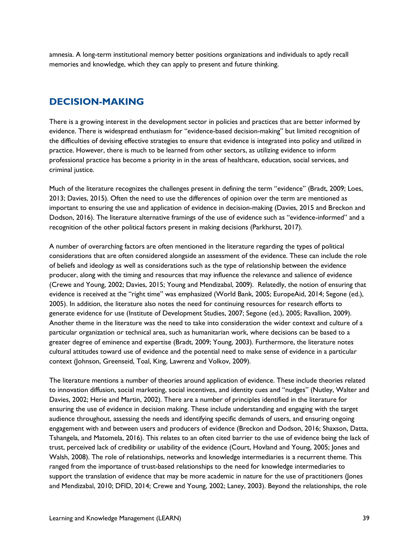amnesia. A long-term institutional memory better positions organizations and individuals to aptly recall memories and knowledge, which they can apply to present and future thinking.

## <span id="page-38-0"></span>**DECISION-MAKING**

There is a growing interest in the development sector in policies and practices that are better informed by evidence. There is widespread enthusiasm for "evidence-based decision-making" but limited recognition of the difficulties of devising effective strategies to ensure that evidence is integrated into policy and utilized in practice. However, there is much to be learned from other sectors, as utilizing evidence to inform professional practice has become a priority in in the areas of healthcare, education, social services, and criminal justice.

Much of the literature recognizes the challenges present in defining the term "evidence" (Bradt, 2009; Loes, 2013; Davies, 2015). Often the need to use the differences of opinion over the term are mentioned as important to ensuring the use and application of evidence in decision-making (Davies, 2015 and Breckon and Dodson, 2016). The literature alternative framings of the use of evidence such as "evidence-informed" and a recognition of the other political factors present in making decisions (Parkhurst, 2017).

A number of overarching factors are often mentioned in the literature regarding the types of political considerations that are often considered alongside an assessment of the evidence. These can include the role of beliefs and ideology as well as considerations such as the type of relationship between the evidence producer, along with the timing and resources that may influence the relevance and salience of evidence (Crewe and Young, 2002; Davies, 2015; Young and Mendizabal, 2009). Relatedly, the notion of ensuring that evidence is received at the "right time" was emphasized (World Bank, 2005; EuropeAid, 2014; Segone (ed.), 2005). In addition, the literature also notes the need for continuing resources for research efforts to generate evidence for use (Institute of Development Studies, 2007; Segone (ed.), 2005; Ravallion, 2009). Another theme in the literature was the need to take into consideration the wider context and culture of a particular organization or technical area, such as humanitarian work, where decisions can be based to a greater degree of eminence and expertise (Bradt, 2009; Young, 2003). Furthermore, the literature notes cultural attitudes toward use of evidence and the potential need to make sense of evidence in a particular context (Johnson, Greenseid, Toal, King, Lawrenz and Volkov, 2009).

The literature mentions a number of theories around application of evidence. These include theories related to innovation diffusion, social marketing, social incentives, and identity cues and "nudges" (Nutley, Walter and Davies, 2002; Herie and Martin, 2002). There are a number of principles identified in the literature for ensuring the use of evidence in decision making. These include understanding and engaging with the target audience throughout, assessing the needs and identifying specific demands of users, and ensuring ongoing engagement with and between users and producers of evidence (Breckon and Dodson, 2016; Shaxson, Datta, Tshangela, and Matomela, 2016). This relates to an often cited barrier to the use of evidence being the lack of trust, perceived lack of credibility or usability of the evidence (Court, Hovland and Young, 2005; Jones and Walsh, 2008). The role of relationships, networks and knowledge intermediaries is a recurrent theme. This ranged from the importance of trust-based relationships to the need for knowledge intermediaries to support the translation of evidence that may be more academic in nature for the use of practitioners (Jones and Mendizabal, 2010; DFID, 2014; Crewe and Young, 2002; Laney, 2003). Beyond the relationships, the role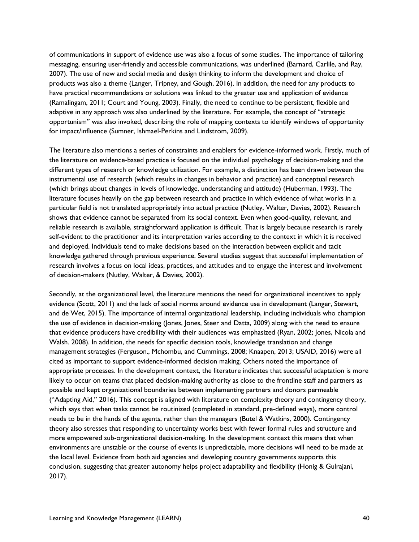of communications in support of evidence use was also a focus of some studies. The importance of tailoring messaging, ensuring user-friendly and accessible communications, was underlined (Barnard, Carlile, and Ray, 2007). The use of new and social media and design thinking to inform the development and choice of products was also a theme (Langer, Tripney, and Gough, 2016). In addition, the need for any products to have practical recommendations or solutions was linked to the greater use and application of evidence (Ramalingam, 2011; Court and Young, 2003). Finally, the need to continue to be persistent, flexible and adaptive in any approach was also underlined by the literature. For example, the concept of "strategic opportunism" was also invoked, describing the role of mapping contexts to identify windows of opportunity for impact/influence (Sumner, Ishmael-Perkins and Lindstrom, 2009).

The literature also mentions a series of constraints and enablers for evidence-informed work. Firstly, much of the literature on evidence-based practice is focused on the individual psychology of decision-making and the different types of research or knowledge utilization. For example, a distinction has been drawn between the instrumental use of research (which results in changes in behavior and practice) and conceptual research (which brings about changes in levels of knowledge, understanding and attitude) (Huberman, 1993). The literature focuses heavily on the gap between research and practice in which evidence of what works in a particular field is not translated appropriately into actual practice (Nutley, Walter, Davies, 2002). Research shows that evidence cannot be separated from its social context. Even when good-quality, relevant, and reliable research is available, straightforward application is difficult. That is largely because research is rarely self-evident to the practitioner and its interpretation varies according to the context in which it is received and deployed. Individuals tend to make decisions based on the interaction between explicit and tacit knowledge gathered through previous experience. Several studies suggest that successful implementation of research involves a focus on local ideas, practices, and attitudes and to engage the interest and involvement of decision-makers (Nutley, Walter, & Davies, 2002).

Secondly, at the organizational level, the literature mentions the need for organizational incentives to apply evidence (Scott, 2011) and the lack of social norms around evidence use in development (Langer, Stewart, and de Wet, 2015). The importance of internal organizational leadership, including individuals who champion the use of evidence in decision-making (Jones, Jones, Steer and Datta, 2009) along with the need to ensure that evidence producers have credibility with their audiences was emphasized (Ryan, 2002; Jones, Nicola and Walsh. 2008). In addition, the needs for specific decision tools, knowledge translation and change management strategies (Ferguson., Mchombu, and Cummings, 2008; Knaapen, 2013; USAID, 2016) were all cited as important to support evidence-informed decision making. Others noted the importance of appropriate processes. In the development context, the literature indicates that successful adaptation is more likely to occur on teams that placed decision-making authority as close to the frontline staff and partners as possible and kept organizational boundaries between implementing partners and donors permeable ("Adapting Aid," 2016). This concept is aligned with literature on complexity theory and contingency theory, which says that when tasks cannot be routinized (completed in standard, pre-defined ways), more control needs to be in the hands of the agents, rather than the managers (Butel & Watkins, 2000). Contingency theory also stresses that responding to uncertainty works best with fewer formal rules and structure and more empowered sub-organizational decision-making. In the development context this means that when environments are unstable or the course of events is unpredictable, more decisions will need to be made at the local level. Evidence from both aid agencies and developing country governments supports this conclusion, suggesting that greater autonomy helps project adaptability and flexibility (Honig & Gulrajani, 2017).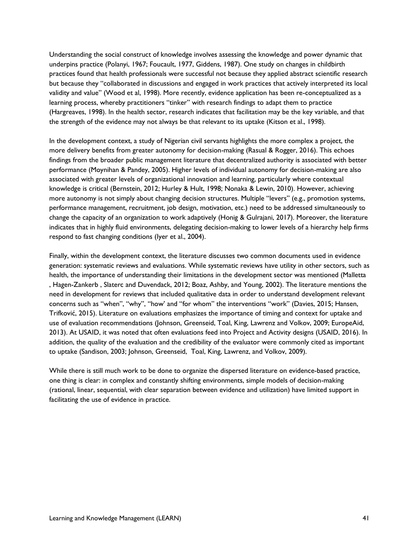Understanding the social construct of knowledge involves assessing the knowledge and power dynamic that underpins practice (Polanyi, 1967; Foucault, 1977, Giddens, 1987). One study on changes in childbirth practices found that health professionals were successful not because they applied abstract scientific research but because they "collaborated in discussions and engaged in work practices that actively interpreted its local validity and value" (Wood et al, 1998). More recently, evidence application has been re-conceptualized as a learning process, whereby practitioners "tinker" with research findings to adapt them to practice (Hargreaves, 1998). In the health sector, research indicates that facilitation may be the key variable, and that the strength of the evidence may not always be that relevant to its uptake (Kitson et al., 1998).

In the development context, a study of Nigerian civil servants highlights the more complex a project, the more delivery benefits from greater autonomy for decision-making (Rasual & Rogger, 2016). This echoes findings from the broader public management literature that decentralized authority is associated with better performance (Moynihan & Pandey, 2005). Higher levels of individual autonomy for decision-making are also associated with greater levels of organizational innovation and learning, particularly where contextual knowledge is critical (Bernstein, 2012; Hurley & Hult, 1998; Nonaka & Lewin, 2010). However, achieving more autonomy is not simply about changing decision structures. Multiple "levers" (e.g., promotion systems, performance management, recruitment, job design, motivation, etc.) need to be addressed simultaneously to change the capacity of an organization to work adaptively (Honig & Gulrajani, 2017). Moreover, the literature indicates that in highly fluid environments, delegating decision-making to lower levels of a hierarchy help firms respond to fast changing conditions (Iyer et al., 2004).

Finally, within the development context, the literature discusses two common documents used in evidence generation: systematic reviews and evaluations. While systematic reviews have utility in other sectors, such as health, the importance of understanding their limitations in the development sector was mentioned (Malletta , Hagen-Zankerb , Slaterc and Duvendack, 2012; Boaz, Ashby, and Young, 2002). The literature mentions the need in development for reviews that included qualitative data in order to understand development relevant concerns such as "when", "why", "how' and "for whom" the interventions "work" (Davies, 2015; Hansen, Trifković, 2015). Literature on evaluations emphasizes the importance of timing and context for uptake and use of evaluation recommendations (Johnson, Greenseid, Toal, King, Lawrenz and Volkov, 2009; EuropeAid, 2013). At USAID, it was noted that often evaluations feed into Project and Activity designs (USAID, 2016). In addition, the quality of the evaluation and the credibility of the evaluator were commonly cited as important to uptake (Sandison, 2003; Johnson, Greenseid, Toal, King, Lawrenz, and Volkov, 2009).

While there is still much work to be done to organize the dispersed literature on evidence-based practice, one thing is clear: in complex and constantly shifting environments, simple models of decision-making (rational, linear, sequential, with clear separation between evidence and utilization) have limited support in facilitating the use of evidence in practice.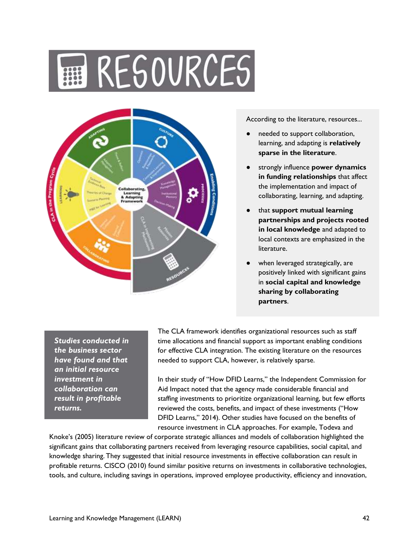# RESOURCES



According to the literature, resources...

- needed to support collaboration, learning, and adapting is **relatively sparse in the literature**.
- strongly influence **power dynamics in funding relationships** that affect the implementation and impact of collaborating, learning, and adapting.
- that **support mutual learning partnerships and projects rooted in local knowledge** and adapted to local contexts are emphasized in the literature.
- when leveraged strategically, are positively linked with significant gains in **social capital and knowledge sharing by collaborating partners**.

*Studies conducted in the business sector have found and that an initial resource investment in collaboration can result in profitable returns.* 

The CLA framework identifies organizational resources such as staff time allocations and financial support as important enabling conditions for effective CLA integration. The existing literature on the resources needed to support CLA, however, is relatively sparse.

In their study of "How DFID Learns," the Independent Commission for Aid Impact noted that the agency made considerable financial and staffing investments to prioritize organizational learning, but few efforts reviewed the costs, benefits, and impact of these investments ("How DFID Learns," 2014). Other studies have focused on the benefits of resource investment in CLA approaches. For example, Todeva and

Knoke's (2005) literature review of corporate strategic alliances and models of collaboration highlighted the significant gains that collaborating partners received from leveraging resource capabilities, social capital, and knowledge sharing. They suggested that initial resource investments in effective collaboration can result in profitable returns. CISCO (2010) found similar positive returns on investments in collaborative technologies, tools, and culture, including savings in operations, improved employee productivity, efficiency and innovation,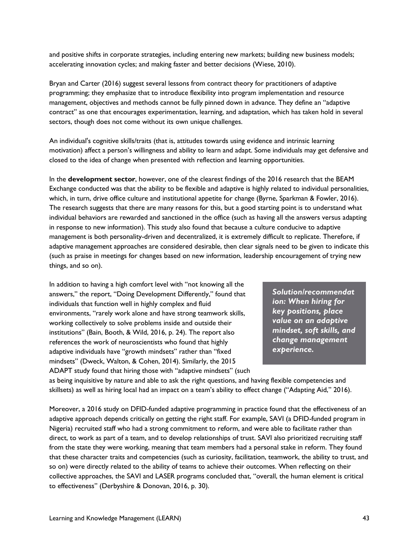and positive shifts in corporate strategies, including entering new markets; building new business models; accelerating innovation cycles; and making faster and better decisions (Wiese, 2010).

Bryan and Carter (2016) suggest several lessons from contract theory for practitioners of adaptive programming; they emphasize that to introduce flexibility into program implementation and resource management, objectives and methods cannot be fully pinned down in advance. They define an "adaptive contract" as one that encourages experimentation, learning, and adaptation, which has taken hold in several sectors, though does not come without its own unique challenges.

An individual's cognitive skills/traits (that is, attitudes towards using evidence and intrinsic learning motivation) affect a person's willingness and ability to learn and adapt. Some individuals may get defensive and closed to the idea of change when presented with reflection and learning opportunities.

In the **development sector**, however, one of the clearest findings of the 2016 research that the BEAM Exchange conducted was that the ability to be flexible and adaptive is highly related to individual personalities, which, in turn, drive office culture and institutional appetite for change (Byrne, Sparkman & Fowler, 2016). The research suggests that there are many reasons for this, but a good starting point is to understand what individual behaviors are rewarded and sanctioned in the office (such as having all the answers versus adapting in response to new information). This study also found that because a culture conducive to adaptive management is both personality-driven and decentralized, it is extremely difficult to replicate. Therefore, if adaptive management approaches are considered desirable, then clear signals need to be given to indicate this (such as praise in meetings for changes based on new information, leadership encouragement of trying new things, and so on).

In addition to having a high comfort level with "not knowing all the answers," the report, "Doing Development Differently," found that individuals that function well in highly complex and fluid environments, "rarely work alone and have strong teamwork skills, working collectively to solve problems inside and outside their institutions" (Bain, Booth, & Wild, 2016, p. 24). The report also references the work of neuroscientists who found that highly adaptive individuals have "growth mindsets" rather than "fixed mindsets" (Dweck, Walton, & Cohen, 2014). Similarly, the 2015 ADAPT study found that hiring those with "adaptive mindsets" (such

*Solution/recommendat ion: When hiring for key positions, place value on an adaptive mindset, soft skills, and change management experience.*

as being inquisitive by nature and able to ask the right questions, and having flexible competencies and skillsets) as well as hiring local had an impact on a team's ability to effect change ("Adapting Aid," 2016).

Moreover, a 2016 study on DFID-funded adaptive programming in practice found that the effectiveness of an adaptive approach depends critically on getting the right staff. For example, SAVI (a DFID-funded program in Nigeria) recruited staff who had a strong commitment to reform, and were able to facilitate rather than direct, to work as part of a team, and to develop relationships of trust. SAVI also prioritized recruiting staff from the state they were working, meaning that team members had a personal stake in reform. They found that these character traits and competencies (such as curiosity, facilitation, teamwork, the ability to trust, and so on) were directly related to the ability of teams to achieve their outcomes. When reflecting on their collective approaches, the SAVI and LASER programs concluded that, "overall, the human element is critical to effectiveness" (Derbyshire & Donovan, 2016, p. 30).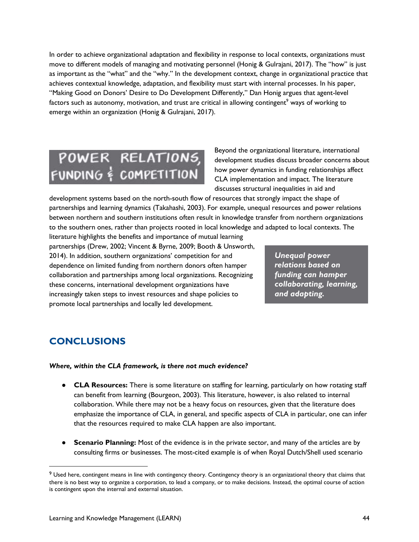In order to achieve organizational adaptation and flexibility in response to local contexts, organizations must move to different models of managing and motivating personnel (Honig & Gulrajani, 2017). The "how" is just as important as the "what" and the "why." In the development context, change in organizational practice that achieves contextual knowledge, adaptation, and flexibility must start with internal processes. In his paper, "Making Good on Donors' Desire to Do Development Differently," Dan Honig argues that agent-level factors such as autonomy, motivation, and trust are critical in allowing contingent<sup>9</sup> ways of working to emerge within an organization (Honig & Gulrajani, 2017).

## POWER RELATIONS, FUNDING & COMPETITION

Beyond the organizational literature, international development studies discuss broader concerns about how power dynamics in funding relationships affect CLA implementation and impact. The literature discusses structural inequalities in aid and

development systems based on the north-south flow of resources that strongly impact the shape of partnerships and learning dynamics (Takahashi, 2003). For example, unequal resources and power relations between northern and southern institutions often result in knowledge transfer from northern organizations to the southern ones, rather than projects rooted in local knowledge and adapted to local contexts. The

literature highlights the benefits and importance of mutual learning partnerships (Drew, 2002; Vincent & Byrne, 2009; Booth & Unsworth, 2014). In addition, southern organizations' competition for and dependence on limited funding from northern donors often hamper collaboration and partnerships among local organizations. Recognizing these concerns, international development organizations have increasingly taken steps to invest resources and shape policies to promote local partnerships and locally led development.

*Unequal power relations based on funding can hamper collaborating, learning, and adapting.*

## <span id="page-43-0"></span>**CONCLUSIONS**

#### *Where, within the CLA [framework,](https://usaidlearninglab.org/lab-notes/lucky-7-meet-updated-cla-framework%2C-version-7) is there not much evidence?*

- **CLA Resources:** There is some literature on staffing for learning, particularly on how rotating staff can benefit from learning (Bourgeon, 2003). This literature, however, is also related to internal collaboration. While there may not be a heavy focus on resources, given that the literature does emphasize the importance of CLA, in general, and specific aspects of CLA in particular, one can infer that the resources required to make CLA happen are also important.
- **Scenario Planning:** Most of the evidence is in the private sector, and many of the articles are by consulting firms or businesses. The most-cited example is of when Royal Dutch/Shell used scenario

<sup>&</sup>lt;sup>9</sup> Used here, contingent means in line with contingency theory. Contingency theory is an organizational theory that claims that there is no best way to organize a corporation, to lead a company, or to make decisions. Instead, the optimal course of action is contingent upon the internal and external situation.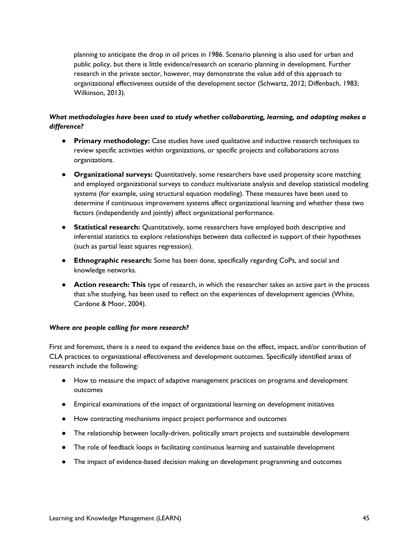planning to anticipate the drop in oil prices in 1986. Scenario planning is also used for urban and public policy, but there is little evidence/research on scenario planning in development. Further research in the private sector, however, may demonstrate the value add of this approach to organizational effectiveness outside of the development sector (Schwartz, 2012; Diffenbach, 1983; Wilkinson, 2013).

### *What methodologies have been used to study whether collaborating, learning, and adapting makes a difference?*

- **Primary methodology:** Case studies have used qualitative and inductive research techniques to review specific activities within organizations, or specific projects and collaborations across organizations.
- **Organizational surveys:** Quantitatively, some researchers have used propensity score matching and employed organizational surveys to conduct multivariate analysis and develop statistical modeling systems (for example, using structural equation modeling). These measures have been used to determine if continuous improvement systems affect organizational learning and whether these two factors (independently and jointly) affect organizational performance.
- **Statistical research:** Quantitatively, some researchers have employed both descriptive and inferential statistics to explore relationships between data collected in support of their hypotheses (such as partial least squares regression).
- **Ethnographic research:** Some has been done, specifically regarding CoPs, and social and knowledge networks.
- **Action research: This** type of research, in which the researcher takes an active part in the process that s/he studying, has been used to reflect on the experiences of development agencies (White, Cardone & Moor, 2004).

### *Where are people calling for more research?*

First and foremost, there is a need to expand the evidence base on the effect, impact, and/or contribution of CLA practices to organizational effectiveness and development outcomes. Specifically identified areas of research include the following:

- How to measure the impact of adaptive management practices on programs and development outcomes
- Empirical examinations of the impact of organizational learning on development initiatives
- How contracting mechanisms impact project performance and outcomes
- The relationship between locally-driven, politically smart projects and sustainable development
- The role of feedback loops in facilitating continuous learning and sustainable development
- The impact of evidence-based decision making on development programming and outcomes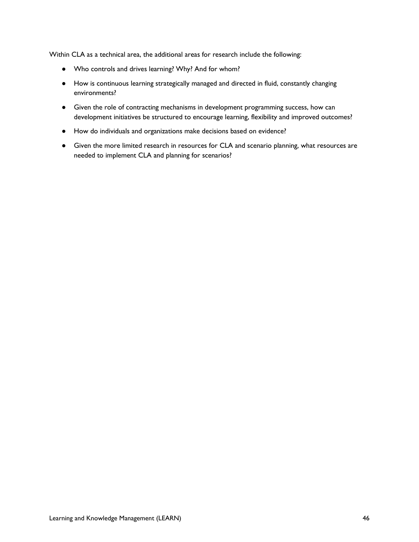Within CLA as a technical area, the additional areas for research include the following:

- Who controls and drives learning? Why? And for whom?
- How is continuous learning strategically managed and directed in fluid, constantly changing environments?
- Given the role of contracting mechanisms in development programming success, how can development initiatives be structured to encourage learning, flexibility and improved outcomes?
- How do individuals and organizations make decisions based on evidence?
- Given the more limited research in resources for CLA and scenario planning, what resources are needed to implement CLA and planning for scenarios?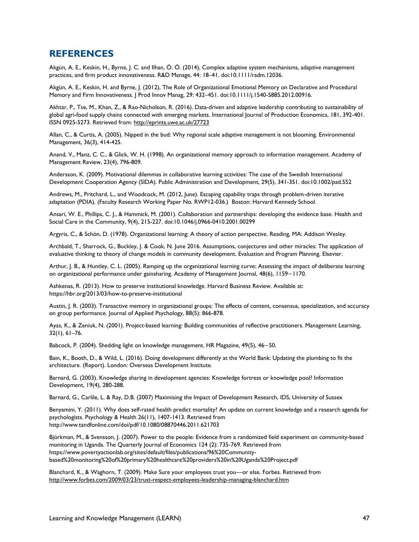## <span id="page-46-0"></span>**REFERENCES**

Akgün, A. E., Keskin, H., Byrne, J. C. and Ilhan, Ö. Ö. (2014), Complex adaptive system mechanisms, adaptive management practices, and firm product innovativeness. R&D Manage, 44: 18–41. doi:10.1111/radm.12036.

Akgün, A. E., Keskin, H. and Byrne, J. (2012), The Role of Organizational Emotional Memory on Declarative and Procedural Memory and Firm Innovativeness. J Prod Innov Manag, 29: 432–451. doi:10.1111/j.1540-5885.2012.00916.

Akhtar, P., Tse, M., Khan, Z., & Rao-Nicholson, R. (2016). Data-driven and adaptive leadership contributing to sustainability of global agri-food supply chains connected with emerging markets. International Journal of Production Economics, 181, 392-401. ISSN 0925-5273. Retrieved from[: http://eprints.uwe.ac.uk/27723](http://eprints.uwe.ac.uk/27723)

Allan, C., & Curtis, A. (2005). Nipped in the bud: Why regional scale adaptive management is not blooming. Environmental Management, 36(3), 414-425.

Anand, V., Manz, C. C., & Glick, W. H. (1998). An organizational memory approach to information management. Academy of Management Review, 23(4), 796-809.

Andersson, K. (2009). Motivational dilemmas in collaborative learning activities: The case of the Swedish International Development Cooperation Agency (SIDA). Public Administration and Development, 29(5), 341-351. doi:10.1002/pad.552

Andrews, M., Pritchard, L., and Woodcock, M. (2012, June). Escaping capability traps through problem-driven iterative adaptation (PDIA). (Faculty Research Working Paper No. RWP12-036.) Boston: Harvard Kennedy School.

Ansari, W. E., Phillips, C. J., & Hammick, M. (2001). Collaboration and partnerships: developing the evidence base. Health and Social Care in the Community, 9(4), 215-227. doi:10.1046/j.0966-0410.2001.00299

Argyris, C., & Schön, D. (1978). Organizational learning: A theory of action perspective. Reading, MA: Addison Wesley.

Archbald, T., Sharrock, G., Buckley, J. & Cook, N. June 2016. Assumptions, conjectures and other miracles: The application of evaluative thinking to theory of change models in community development. Evaluation and Program Planning. Elsevier.

Arthur, J. B., & Huntley, C. L. (2005). Ramping up the organizational learning curve: Assessing the impact of deliberate learning on organizational performance under gainsharing. Academy of Management Journal, 48(6), 1159−1170.

Ashkenas, R. (2013). How to preserve institutional knowledge. Harvard Business Review. Available at: https://hbr.org/2013/03/how-to-preserve-institutional

Austin, J. R. (2003). Transactive memory in organizational groups: The effects of content, consensus, specialization, and accuracy on group performance. Journal of Applied Psychology, 88(5): 866-878.

Ayas, K., & Zeniuk, N. (2001). Project-based learning: Building communities of reflective practitioners. Management Learning, 32(1), 61–76.

Babcock, P. (2004). Shedding light on knowledge management. HR Magazine, 49(5), 46−50.

Bain, K., Booth, D., & Wild, L. (2016). Doing development differently at the World Bank: Updating the plumbing to fit the architecture. (Report). London: Overseas Development Institute.

Barnard, G. (2003). Knowledge sharing in development agencies: Knowledge fortress or knowledge pool? Information Development, 19(4), 280-288.

Barnard, G., Carlile, L. & Ray, D.B. (2007) Maximising the Impact of Development Research, IDS, University of Sussex

Benyamini, Y. (2011). Why does self-rated health predict mortality? An update on current knowledge and a research agenda for psychologists. Psychology & Health 26(11), 1407-1413. Retrieved from http://www.tandfonline.com/doi/pdf/10.1080/08870446.2011.621703

Björkman, M., & Svensson, J. (2007). Power to the people: Evidence from a randomized field experiment on community-based monitoring in Uganda. The Quarterly Journal of Economics 124 (2): 735-769. Retrieved from https://www.povertyactionlab.org/sites/default/files/publications/96%20Communitybased%20monitoring%20of%20primary%20healthcare%20providers%20in%20Uganda%20Project.pdf

Blanchard, K., & Waghorn, T. (2009). Make Sure your employees trust you—or else. Forbes. Retrieved from <http://www.forbes.com/2009/03/23/trust-respect-employees-leadership-managing-blanchard.htm>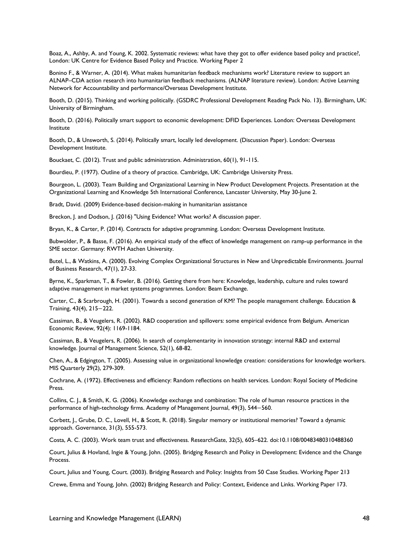Boaz, A., Ashby, A. and Young, K. 2002. Systematic reviews: what have they got to offer evidence based policy and practice?, London: UK Centre for Evidence Based Policy and Practice. Working Paper 2

Bonino F., & Warner, A. (2014). What makes humanitarian feedback mechanisms work? Literature review to support an ALNAP–CDA action research into humanitarian feedback mechanisms. (ALNAP literature review). London: Active Learning Network for Accountability and performance/Overseas Development Institute.

Booth, D. (2015). Thinking and working politically. (GSDRC Professional Development Reading Pack No. 13). Birmingham, UK: University of Birmingham.

Booth, D. (2016). Politically smart support to economic development: DFID Experiences. London: Overseas Development Institute

Booth, D., & Unsworth, S. (2014). Politically smart, locally led development. (Discussion Paper). London: Overseas Development Institute.

Bouckaet, C. (2012). Trust and public administration. Administration, 60(1), 91-115.

Bourdieu, P. (1977). Outline of a theory of practice. Cambridge, UK: Cambridge University Press.

Bourgeon, L. (2003). Team Building and Organizational Learning in New Product Development Projects. Presentation at the Organizational Learning and Knowledge 5th International Conference, Lancaster University, May 30-June 2.

Bradt, David. (2009) Evidence-based decision-making in humanitarian assistance

Breckon, J. and Dodson, J. (2016) "Using Evidence? What works? A discussion paper.

Bryan, K., & Carter, P. (2014). Contracts for adaptive programming. London: Overseas Development Institute.

Bubwolder, P., & Basse, F. (2016). An empirical study of the effect of knowledge management on ramp-up performance in the SME sector. Germany: RWTH Aachen University.

Butel, L., & Watkins, A. (2000). Evolving Complex Organizational Structures in New and Unpredictable Environments. Journal of Business Research, 47(1), 27-33.

Byrne, K., Sparkman, T., & Fowler, B. (2016). Getting there from here: Knowledge, leadership, culture and rules toward adaptive management in market systems programmes. London: Beam Exchange.

Carter, C., & Scarbrough, H. (2001). Towards a second generation of KM? The people management challenge. Education & Training, 43(4), 215−222.

Cassiman, B., & Veugelers, R. (2002). R&D cooperation and spillovers: some empirical evidence from Belgium. American Economic Review, 92(4): 1169-1184.

Cassiman, B., & Veugelers, R. (2006). In search of complementarity in innovation strategy: internal R&D and external knowledge. Journal of Management Science, 52(1), 68-82.

Chen, A., & Edgington, T. (2005). Assessing value in organizational knowledge creation: considerations for knowledge workers. MIS Quarterly 29(2), 279-309.

Cochrane, A. (1972). Effectiveness and efficiency: Random reflections on health services. London: Royal Society of Medicine Press.

Collins, C. J., & Smith, K. G. (2006). Knowledge exchange and combination: The role of human resource practices in the performance of high-technology firms. Academy of Management Journal, 49(3), 544−560.

Corbett, J., Grube, D. C., Lovell, H., & Scott, R. (2018). Singular memory or institutional memories? Toward a dynamic approach. Governance, 31(3), 555-573.

Costa, A. C. (2003). Work team trust and effectiveness. ResearchGate, 32(5), 605–622. doi:10.1108/00483480310488360

Court, Julius & Hovland, Ingie & Young, John. (2005). Bridging Research and Policy in Development: Evidence and the Change Process.

Court, Julius and Young, Court. (2003). Bridging Research and Policy: Insights from 50 Case Studies. Working Paper 213

Crewe, Emma and Young, John. (2002) Bridging Research and Policy: Context, Evidence and Links. Working Paper 173.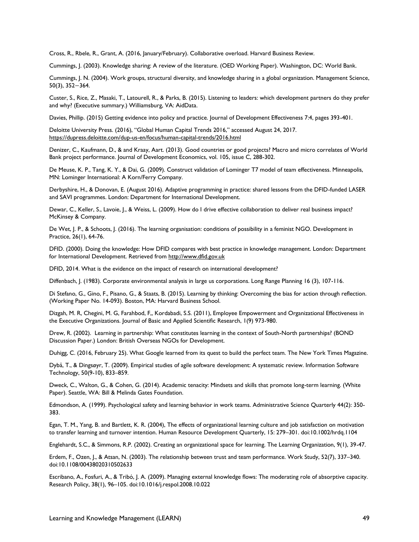Cross, R., Rbele, R., Grant, A. (2016, January/February). Collaborative overload. Harvard Business Review.

Cummings, J. (2003). Knowledge sharing: A review of the literature. (OED Working Paper). Washington, DC: World Bank.

Cummings, J. N. (2004). Work groups, structural diversity, and knowledge sharing in a global organization. Management Science, 50(3), 352−364.

Custer, S., Rice, Z., Masaki, T., Latourell, R., & Parks, B. (2015). Listening to leaders: which development partners do they prefer and why? (Executive summary.) Williamsburg, VA: AidData.

Davies, Phillip. (2015) Getting evidence into policy and practice. Journal of Development Effectiveness 7:4, pages 393-401.

Deloitte University Press. (2016), "Global Human Capital Trends 2016," accessed August 24, 2017. <https://dupress.deloitte.com/dup-us-en/focus/human-capital-trends/2016.html>

Denizer, C., Kaufmann, D., & and Kraay, Aart. (2013). Good countries or good projects? Macro and micro correlates of World Bank project performance. Journal of Development Economics, vol. 105, issue C, 288-302.

De Meuse, K. P., Tang, K. Y., & Dai, G. (2009). Construct validation of Lominger T7 model of team effectiveness. Minneapolis, MN: Lominger International: A Korn/Ferry Company.

Derbyshire, H., & Donovan, E. (August 2016). Adaptive programming in practice: shared lessons from the DFID-funded LASER and SAVI programmes. London: Department for International Development.

Dewar, C., Keller, S., Lavoie, J., & Weiss, L. (2009). How do I drive effective collaboration to deliver real business impact? McKinsey & Company.

De Wet, J. P., & Schoots, J. (2016). The learning organisation: conditions of possibility in a feminist NGO. Development in Practice, 26(1), 64-76.

DFID. (2000). Doing the knowledge: How DFID compares with best practice in knowledge management. London: Department for International Development. Retrieved from [http://www.dfid.gov.uk](http://www.dfid.gov.uk/)

DFID, 2014. What is the evidence on the impact of research on international development?

Diffenbach, J. (1983). Corporate environmental analysis in large us corporations. Long Range Planning 16 (3), 107-116.

Di Stefano, G., Gino, F., Pisano, G., & Staats, B. (2015). Learning by thinking: Overcoming the bias for action through reflection. (Working Paper No. 14-093). Boston, MA: Harvard Business School.

Dizgah, M. R, Chegini, M. G, Farahbod, F,, Kordabadi, S.S. (2011), Employee Empowerment and Organizational Effectiveness in the Executive Organizations. Journal of Basic and Applied Scientific Research, 1(9) 973-980.

Drew, R. (2002). Learning in partnership: What constitutes learning in the context of South-North partnerships? (BOND Discussion Paper.) London: British Overseas NGOs for Development.

Duhigg, C. (2016, February 25). What Google learned from its quest to build the perfect team. The New York Times Magazine.

Dybå, T., & Dingsøyr, T. (2009). Empirical studies of agile software development: A systematic review. Information Software Technology, 50(9-10), 833–859.

Dweck, C., Walton, G., & Cohen, G. (2014). Academic tenacity: Mindsets and skills that promote long-term learning. (White Paper). Seattle, WA: Bill & Melinda Gates Foundation.

Edmondson, A. (1999). Psychological safety and learning behavior in work teams. Administrative Science Quarterly 44(2): 350- 383.

Egan, T. M., Yang, B. and Bartlett, K. R. (2004), The effects of organizational learning culture and job satisfaction on motivation to transfer learning and turnover intention. Human Resource Development Quarterly, 15: 279–301. doi:10.1002/hrdq.1104

Englehardt, S.C., & Simmons, R.P. (2002). Creating an organizational space for learning. The Learning Organization, 9(1), 39-47.

Erdem, F., Ozen, J., & Atsan, N. (2003). The relationship between trust and team performance. Work Study, 52(7), 337–340. doi:10.1108/00438020310502633

Escribano, A., Fosfuri, A., & Tribó, J. A. (2009). Managing external knowledge flows: The moderating role of absorptive capacity. Research Policy, 38(1), 96–105. doi:10.1016/j.respol.2008.10.022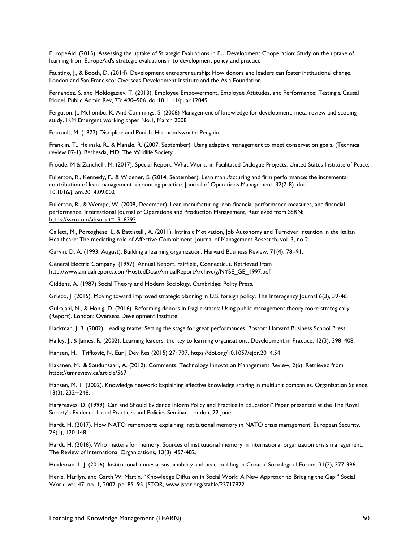EuropeAid. (2015). Assessing the uptake of Strategic Evaluations in EU Development Cooperation: Study on the uptake of learning from EuropeAid's strategic evaluations into development policy and practice

Faustino, J., & Booth, D. (2014). Development entrepreneurship: How donors and leaders can foster institutional change. London and San Francisco: Overseas Development Institute and the Asia Foundation.

Fernandez, S. and Moldogaziev, T. (2013), Employee Empowerment, Employee Attitudes, and Performance: Testing a Causal Model. Public Admin Rev, 73: 490–506. doi:10.1111/puar.12049

Ferguson, J., Mchombu, K. And Cummings, S. (2008) Management of knowledge for development: meta-review and scoping study, IKM Emergent working paper No.1, March 2008

Foucault, M. (1977) Discipline and Punish. Harmondsworth: Penguin.

Franklin, T., Helinski, R., & Manale, R. (2007, September). Using adaptive management to meet conservation goals. (Technical review 07-1). Bethesda, MD: The Wildlife Society.

Froude, M & Zanchelli, M. (2017). Special Report: What Works in Facilitated Dialogue Projects. United States Institute of Peace.

Fullerton, R., Kennedy, F., & Widener, S. (2014, September). Lean manufacturing and firm performance: the incremental contribution of lean management accounting practice. Journal of Operations Management, 32(7-8). doi: 10.1016/j.jom.2014.09.002

Fullerton, R., & Wempe, W. (2008, December). Lean manufacturing, non-financial performance measures, and financial performance. International Journal of Operations and Production Management, Retrieved from SSRN: <https://ssrn.com/abstract=1318393>

Galleta, M., Portoghese, I., & Battistelli, A. (2011). Intrinsic Motivation, Job Autonomy and Turnover Intention in the Italian Healthcare: The mediating role of Affective Commitment. Journal of Management Research, vol. 3, no 2.

Garvin, D. A. (1993, August). Building a learning organization. Harvard Business Review, 71(4), 78–91.

General Electric Company. (1997). Annual Report. Fairfield, Connecticut. Retrieved from http://www.annualreports.com/HostedData/AnnualReportArchive/g/NYSE\_GE\_1997.pdf

Giddens, A. (1987) Social Theory and Modern Sociology. Cambridge: Polity Press.

Grieco, J. (2015). Moving toward improved strategic planning in U.S. foreign policy. The Interagency Journal 6(3), 39-46.

Gulrajani, N., & Honig, D. (2016). Reforming donors in fragile states: Using public management theory more strategically. (Report). London: Overseas Development Institute.

Hackman, J. R. (2002). Leading teams: Setting the stage for great performances. Boston: Harvard Business School Press.

Hailey, J., & James, R. (2002). Learning leaders: the key to learning organisations. Development in Practice, 12(3), 398–408.

Hansen, H. Trifković, N. Eur J Dev Res (2015) 27: 70[7.](https://doi.org/10.1057/ejdr.2014.54) <https://doi.org/10.1057/ejdr.2014.54>

Hakanen, M., & Soudunsaari, A. (2012). Comments. Technology Innovation Management Review, 2(6). Retrieved from https://timreview.ca/article/567

Hansen, M. T. (2002). Knowledge network: Explaining effective knowledge sharing in multiunit companies. Organization Science, 13(3), 232−248.

Hargreaves, D. (1999) 'Can and Should Evidence Inform Policy and Practice in Education?' Paper presented at the The Royal Society's Evidence-based Practices and Policies Seminar, London, 22 June.

Hardt, H. (2017). How NATO remembers: explaining institutional memory in NATO crisis management. European Security, 26(1), 120-148.

Hardt, H. (2018). Who matters for memory: Sources of institutional memory in international organization crisis management. The Review of International Organizations, 13(3), 457-482.

Heideman, L. J. (2016). Institutional amnesia: sustainability and peacebuilding in Croatia. Sociological Forum, 31(2), 377-396.

Herie, Marilyn, and Garth W. Martin. "Knowledge Diffusion in Social Work: A New Approach to Bridging the Gap." Social Work, vol. 47, no. 1, 2002, pp. 85–95. JSTOR, [www.jstor.org/stable/23717922.](http://www.jstor.org/stable/23717922)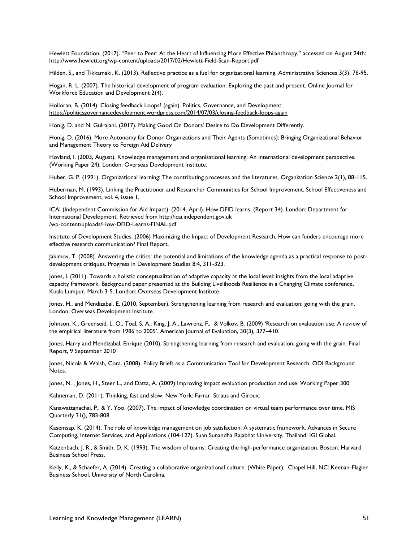Hewlett Foundation. (2017). "Peer to Peer: At the Heart of Influencing More Effective Philanthropy," accessed on August 24th: http://www.hewlett.org/wp-content/uploads/2017/02/Hewlett-Field-Scan-Report.pdf

Hilden, S., and Tikkamäki, K. (2013). Reflective practice as a fuel for organizational learning. Administrative Sciences 3(3), 76-95.

Hogan, R. L. (2007). The historical development of program evaluation: Exploring the past and present. Online Journal for Workforce Education and Development 2(4).

Holloran, B. (2014). Closing feedback Loops? (again). Politics, Governance, and Development. <https://politicsgovernancedevelopment.wordpress.com/2014/07/03/closing-feedback-loops-again>

Honig, D. and N. Gulrajani. (2017). Making Good On Donors' Desire to Do Development Differently.

Honig, D. (2016). More Autonomy for Donor Organizations and Their Agents (Sometimes): Bringing Organizational Behavior and Management Theory to Foreign Aid Delivery

Hovland, I. (2003, August). Knowledge management and organisational learning: An international development perspective. (Working Paper 24). London: Overseas Development Institute.

Huber, G. P. (1991). Organizational learning: The contributing processes and the literatures. Organization Science 2(1), 88-115.

Huberman, M. (1993). Linking the Practitioner and Researcher Communities for School Improvement. School Effectiveness and School Improvement, vol. 4, issue 1.

ICAI (Independent Commission for Aid Impact). (2014, April). How DFID learns. (Report 34). London: Department for International Development. Retrieved from http://icai.independent.gov.uk /wp-content/uploads/How-DFID-Learns-FINAL.pdf

Institute of Development Studies. (2006) Maximizing the Impact of Development Research: How can funders encourage more effective research communication? Final Report.

Jakimov, T. (2008). Answering the critics: the potential and limitations of the knowledge agenda as a practical response to postdevelopment critiques. Progress in Development Studies 8:4, 311-323.

Jones, l. (2011). Towards a holistic conceptualization of adaptive capacity at the local level: insights from the local adaptive capacity framework. Background paper presented at the Building Livelihoods Resilience in a Changing Climate conference, Kuala Lumpur, March 3-5. London: Overseas Development Institute.

Jones, H., and Mendizabal, E. (2010, September). Strengthening learning from research and evaluation: going with the grain. London: Overseas Development Institute.

Johnson, K., Greenseid, L. O., Toal, S. A., King, J. A., Lawrenz, F., & Volkov, B. (2009) 'Research on evaluation use: A review of the empirical literature from 1986 to 2005'. American Journal of Evaluation, 30(3), 377–410.

Jones, Harry and Mendizabal, Enrique (2010). Strengthening learning from research and evaluation: going with the grain. Final Report, 9 September 2010

Jones, Nicola & Walsh, Cora. (2008). Policy Briefs as a Communication Tool for Development Research. ODI Background Notes.

Jones, N. , Jones, H., Steer L., and Datta, A. (2009) Improving impact evaluation production and use. Working Paper 300

Kahneman, D. (2011). Thinking, fast and slow. New York: Farrar, Straus and Giroux.

Kanawattanachai, P., & Y. Yoo. (2007). The impact of knowledge coordination on virtual team performance over time. MIS Quarterly 31(), 783-808.

Kasemsap, K. (2014). The role of knowledge management on job satisfaction: A systematic framework, Advances in Secure Computing, Internet Services, and Applications (104-127). Suan Sunandha Rajabhat University, Thailand: IGI Global.

Katzenbach, J. R., & Smith, D. K. (1993). The wisdom of teams: Creating the high-performance organization. Boston: Harvard Business School Press.

Kelly, K., & Schaefer, A. (2014). Creating a collaborative organizational culture. (White Paper). Chapel Hill, NC: Keenan-Flagler Business School, University of North Carolina.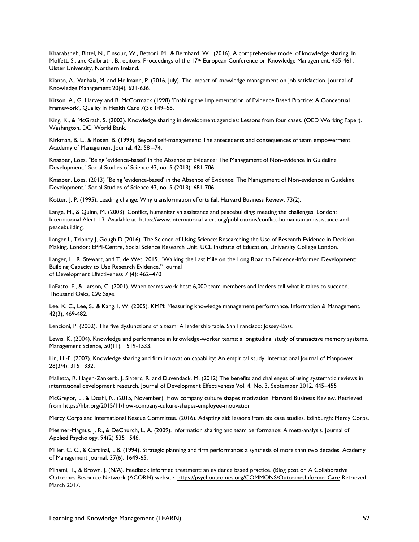Kharabsheh, Bittel, N., Elnsour, W., Bettoni, M., & Bernhard, W. (2016). A comprehensive model of knowledge sharing. In Moffett, S., and Galbraith, B., editors, Proceedings of the 17<sup>th</sup> European Conference on Knowledge Management, 455-461, Ulster University, Northern Ireland.

Kianto, A., Vanhala, M. and Heilmann, P. (2016, July). The impact of knowledge management on job satisfaction. Journal of Knowledge Management 20(4), 621-636.

Kitson, A., G. Harvey and B. McCormack (1998) 'Enabling the Implementation of Evidence Based Practice: A Conceptual Framework', Quality in Health Care 7(3): 149–58.

King, K., & McGrath, S. (2003). Knowledge sharing in development agencies: Lessons from four cases. (OED Working Paper). Washington, DC: World Bank.

Kirkman, B. L., & Rosen, B. (1999), Beyond self-management: The antecedents and consequences of team empowerment. Academy of Management Journal, 42: 58 –74.

Knaapen, Loes. "Being 'evidence-based' in the Absence of Evidence: The Management of Non-evidence in Guideline Development." Social Studies of Science 43, no. 5 (2013): 681-706.

Knaapen, Loes. (2013) "Being 'evidence-based' in the Absence of Evidence: The Management of Non-evidence in Guideline Development." Social Studies of Science 43, no. 5 (2013): 681-706.

Kotter, J. P. (1995). Leading change: Why transformation efforts fail. Harvard Business Review, 73(2).

Lange, M., & Quinn, M. (2003). Conflict, humanitarian assistance and peacebuilding: meeting the challenges. London: International Alert, 13. Available at: https://www.international-alert.org/publications/conflict-humanitarian-assistance-andpeacebuilding.

Langer L, Tripney J, Gough D (2016). The Science of Using Science: Researching the Use of Research Evidence in Decision-Making. London: EPPI-Centre, Social Science Research Unit, UCL Institute of Education, University College London.

Langer, L., R. Stewart, and T. de Wet. 2015. "Walking the Last Mile on the Long Road to Evidence-Informed Development: Building Capacity to Use Research Evidence." Journal of Development Effectiveness 7 (4): 462–470

LaFasto, F., & Larson, C. (2001). When teams work best: 6,000 team members and leaders tell what it takes to succeed. Thousand Oaks, CA: Sage.

Lee, K. C., Lee, S., & Kang, I. W. (2005). KMPI: Measuring knowledge management performance. Information & Management, 42(3), 469-482.

Lencioni, P. (2002). The five dysfunctions of a team: A leadership fable. San Francisco: Jossey-Bass.

Lewis, K. (2004). Knowledge and performance in knowledge-worker teams: a longitudinal study of transactive memory systems. Management Science, 50(11), 1519-1533.

Lin, H.-F. (2007). Knowledge sharing and firm innovation capability: An empirical study. International Journal of Manpower, 28(3/4), 315−332.

Malletta, R. Hagen-Zankerb, J. Slaterc, R. and Duvendack, M. (2012) The benefits and challenges of using systematic reviews in international development research, Journal of Development Effectiveness Vol. 4, No. 3, September 2012, 445–455

McGregor, L., & Doshi, N. (2015, November). How company culture shapes motivation. Harvard Business Review. Retrieved from https://hbr.org/2015/11/how-company-culture-shapes-employee-motivation

Mercy Corps and International Rescue Committee. (2016). Adapting aid: lessons from six case studies. Edinburgh: Mercy Corps.

Mesmer-Magnus, J. R., & DeChurch, L. A. (2009). Information sharing and team performance: A meta-analysis. Journal of Applied Psychology, 94(2) 535−546.

Miller, C. C., & Cardinal, L.B. (1994). Strategic planning and firm performance: a synthesis of more than two decades. Academy of Management Journal, 37(6), 1649-65.

Minami, T., & Brown, J. (N/A). Feedback informed treatment: an evidence based practice. (Blog post on A Collaborative Outcomes Resource Network (ACORN) website:<https://psychoutcomes.org/COMMONS/OutcomesInformedCare> Retrieved March 2017.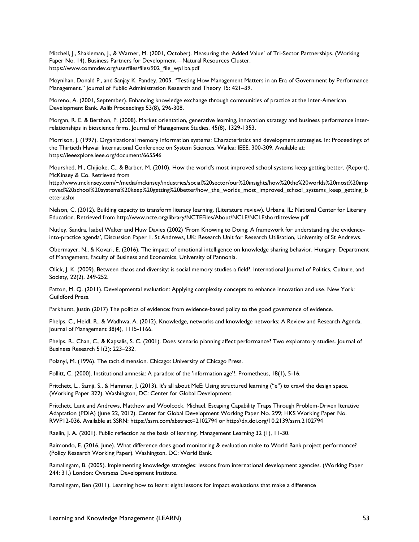Mitchell, J., Shakleman, J., & Warner, M. (2001, October). Measuring the 'Added Value' of Tri-Sector Partnerships. (Working Paper No. 14). Business Partners for Development—Natural Resources Cluster. [https://www.commdev.org/userfiles/files/902\\_file\\_wp1ba.pdf](https://www.commdev.org/userfiles/files/902_file_wp1ba.pdf)

Moynihan, Donald P., and Sanjay K. Pandey. 2005. "Testing How Management Matters in an Era of Government by Performance Management." Journal of Public Administration Research and Theory 15: 421–39.

Moreno, A. (2001, September). Enhancing knowledge exchange through communities of practice at the Inter-American Development Bank. Aslib Proceedings 53(8), 296-308.

Morgan, R. E. & Berthon, P. (2008). Market orientation, generative learning, innovation strategy and business performance interrelationships in bioscience firms. Journal of Management Studies, 45(8), 1329-1353.

Morrison, J. (1997). Organizational memory information systems: Characteristics and development strategies. In: Proceedings of the Thirtieth Hawaii International Conference on System Sciences. Wailea: IEEE, 300-309. Available at: https://ieeexplore.ieee.org/document/665546

Mourshed, M., Chijioke, C., & Barber, M. (2010). How the world's most improved school systems keep getting better. (Report). McKinsey & Co. Retrieved from

http://www.mckinsey.com/~/media/mckinsey/industries/social%20sector/our%20insights/how%20the%20worlds%20most%20imp roved%20school%20systems%20keep%20getting%20better/how the worlds most improved school systems keep getting b etter.ashx

Nelson, C. (2012). Building capacity to transform literacy learning. (Literature review). Urbana, IL: National Center for Literary Education. Retrieved from http://www.ncte.org/library/NCTEFiles/About/NCLE/NCLEshortlitreview.pdf

Nutley, Sandra, Isabel Walter and Huw Davies (2002) 'From Knowing to Doing: A framework for understanding the evidenceinto-practice agenda', Discussion Paper 1. St Andrews, UK: Research Unit for Research Utilisation, University of St Andrews.

Obermayer, N., & Kovari, E. (2016). The impact of emotional intelligence on knowledge sharing behavior. Hungary: Department of Management, Faculty of Business and Economics, University of Pannonia.

Olick, J. K. (2009). Between chaos and diversity: is social memory studies a field?. International Journal of Politics, Culture, and Society, 22(2), 249-252.

Patton, M. Q. (2011). Developmental evaluation: Applying complexity concepts to enhance innovation and use. New York: Guildford Press.

Parkhurst, Justin (2017) The politics of evidence: from evidence-based policy to the good governance of evidence.

Phelps, C., Heidl, R., & Wadhwa, A. (2012). Knowledge, networks and knowledge networks: A Review and Research Agenda. Journal of Management 38(4), 1115-1166.

Phelps, R., Chan, C., & Kapsalis, S. C. (2001). Does scenario planning affect performance? Two exploratory studies. Journal of Business Research 51(3): 223–232.

Polanyi, M. (1996). The tacit dimension. Chicago: University of Chicago Press.

Pollitt, C. (2000). Institutional amnesia: A paradox of the 'information age'?. Prometheus, 18(1), 5-16.

Pritchett, L., Samji, S., & Hammer, J. (2013). It's all about MeE: Using structured learning ("e") to crawl the design space. (Working Paper 322). Washington, DC: Center for Global Development.

Pritchett, Lant and Andrews, Matthew and Woolcock, Michael, Escaping Capability Traps Through Problem-Driven Iterative Adaptation (PDIA) (June 22, 2012). Center for Global Development Working Paper No. 299; HKS Working Paper No. RWP12-036. Available at SSRN: https://ssrn.com/abstract=2102794 or http://dx.doi.org/10.2139/ssrn.2102794

Raelin, J. A. (2001). Public reflection as the basis of learning. Management Learning 32 (1), 11-30.

Raimondo, E. (2016, June). What difference does good monitoring & evaluation make to World Bank project performance? (Policy Research Working Paper). Washington, DC: World Bank.

Ramalingam, B. (2005). Implementing knowledge strategies: lessons from international development agencies. (Working Paper 244: 31.) London: Overseas Development Institute.

Ramalingam, Ben (2011). Learning how to learn: eight lessons for impact evaluations that make a difference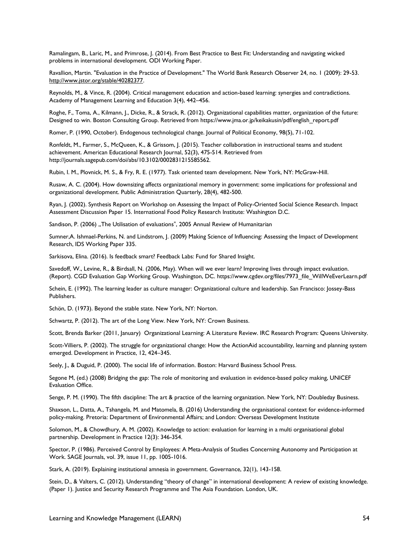Ramalingam, B., Laric, M., and Primrose, J. (2014). From Best Practice to Best Fit: Understanding and navigating wicked problems in international development. ODI Working Paper.

Ravallion, Martin. "Evaluation in the Practice of Development." The World Bank Research Observer 24, no. 1 (2009): 29-53[.](http://www.jstor.org/stable/40282377) [http://www.jstor.org/stable/40282377.](http://www.jstor.org/stable/40282377)

Reynolds, M., & Vince, R. (2004). Critical management education and action-based learning: synergies and contradictions. Academy of Management Learning and Education 3(4), 442–456.

Roghe, F., Toma, A., Kilmann, J., Dicke, R., & Strack, R. (2012). Organizational capabilities matter, organization of the future: Designed to win. Boston Consulting Group. Retrieved from https://www.jma.or.jp/keikakusin/pdf/english\_report.pdf

Romer, P. (1990, October). Endogenous technological change. Journal of Political Economy, 98(5), 71-102.

Ronfeldt, M., Farmer, S., McQueen, K., & Grissom, J. (2015). Teacher collaboration in instructional teams and student achievement. American Educational Research Journal, 52(3), 475-514. Retrieved from http://journals.sagepub.com/doi/abs/10.3102/0002831215585562.

Rubin, I. M., Plovnick, M. S., & Fry, R. E. (1977). Task oriented team development. New York, NY: McGraw-Hill.

Rusaw, A. C. (2004). How downsizing affects organizational memory in government: some implications for professional and organizational development. Public Administration Quarterly, 28(4), 482-500.

Ryan, J. (2002). Synthesis Report on Workshop on Assessing the Impact of Policy-Oriented Social Science Research. Impact Assessment Discussion Paper 15. International Food Policy Research Institute: Washington D.C.

Sandison, P. (2006) "The Utilisation of evaluations", 2005 Annual Review of Humanitarian

Sumner,A. Ishmael-Perkins, N. and Lindstrom, J. (2009) Making Science of Influencing: Assessing the Impact of Development Research, IDS Working Paper 335.

Sarkisova, Elina. (2016). Is feedback smart? Feedback Labs: Fund for Shared Insight.

Savedoff, W., Levine, R., & Birdsall, N. (2006, May). When will we ever learn? Improving lives through impact evaluation. (Report). CGD Evaluation Gap Working Group. Washington, DC. https://www.cgdev.org/files/7973\_file\_WillWeEverLearn.pdf

Schein, E. (1992). The learning leader as culture manager: Organizational culture and leadership. San Francisco: Jossey-Bass Publishers.

Schön, D. (1973). Beyond the stable state. New York, NY: Norton.

Schwartz, P. (2012). The art of the Long View. New York, NY: Crown Business.

Scott, Brenda Barker (2011, January) Organizational Learning: A Literature Review. IRC Research Program: Queens University.

Scott-Villiers, P. (2002). The struggle for organizational change: How the ActionAid accountability, learning and planning system emerged. Development in Practice, 12, 424–345.

Seely, J., & Duguid, P. (2000). The social life of information. Boston: Harvard Business School Press.

Segone M, (ed.) (2008) Bridging the gap: The role of monitoring and evaluation in evidence-based policy making, UNICEF Evaluation Office.

Senge, P. M. (1990). The fifth discipline: The art & practice of the learning organization. New York, NY: Doubleday Business.

Shaxson, L., Datta, A., Tshangela, M. and Matomela, B. (2016) Understanding the organisational context for evidence-informed policy-making. Pretoria: Department of Environmental Affairs; and London: Overseas Development Institute

Solomon, M., & Chowdhury, A. M. (2002). Knowledge to action: evaluation for learning in a multi organisational global partnership. Development in Practice 12(3): 346-354.

Spector, P. (1986). Perceived Control by Employees: A Meta-Analysis of Studies Concerning Autonomy and Participation at Work. SAGE Journals, vol. 39, issue 11, pp. 1005-1016.

Stark, A. (2019). Explaining institutional amnesia in government. Governance, 32(1), 143-158.

Stein, D., & Valters, C. (2012). Understanding "theory of change" in international development: A review of existing knowledge. (Paper 1). Justice and Security Research Programme and The Asia Foundation. London, UK.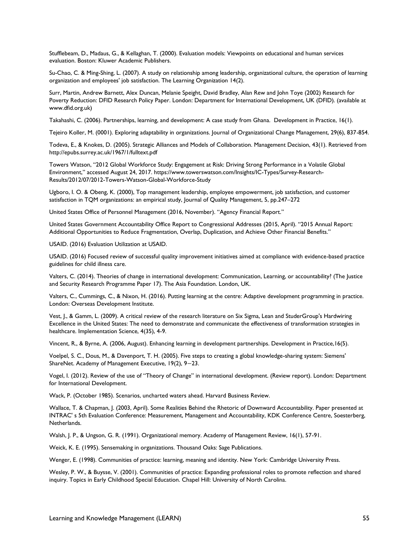Stufflebeam, D., Madaus, G., & Kellaghan, T. (2000). Evaluation models: Viewpoints on educational and human services evaluation. Boston: Kluwer Academic Publishers.

Su-Chao, C. & Ming-Shing, L. (2007). A study on relationship among leadership, organizational culture, the operation of learning organization and employees' job satisfaction. The Learning Organization 14(2).

Surr, Martin, Andrew Barnett, Alex Duncan, Melanie Speight, David Bradley, Alan Rew and John Toye (2002) Research for Poverty Reduction: DFID Research Policy Paper. London: Department for International Development, UK (DFID). (available at www.dfid.org.uk)

Takahashi, C. (2006). Partnerships, learning, and development: A case study from Ghana. Development in Practice, 16(1).

Tejeiro Koller, M. (0001). Exploring adaptability in organizations. Journal of Organizational Change Management, 29(6), 837-854.

Todeva, E., & Knokes, D. (2005). Strategic Alliances and Models of Collaboration. Management Decision, 43(1). Retrieved from http://epubs.surrey.ac.uk/1967/1/fulltext.pdf

Towers Watson, "2012 Global Workforce Study: Engagement at Risk: Driving Strong Performance in a Volatile Global Environment," accessed August 24, 2017. https://www.towerswatson.com/Insights/IC-Types/Survey-Research-Results/2012/07/2012-Towers-Watson-Global-Workforce-Study

Ugboro, I. O. & Obeng, K. (2000), Top management leadership, employee empowerment, job satisfaction, and customer satisfaction in TQM organizations: an empirical study, Journal of Quality Management, 5, pp.247–272

United States Office of Personnel Management (2016, November). "Agency Financial Report."

United States Government Accountability Office Report to Congressional Addresses (2015, April). "2015 Annual Report: Additional Opportunities to Reduce Fragmentation, Overlap, Duplication, and Achieve Other Financial Benefits."

USAID. (2016) Evaluation Utilization at USAID.

USAID. (2016) Focused review of successful quality improvement initiatives aimed at compliance with evidence-based practice guidelines for child illness care.

Valters, C. (2014). Theories of change in international development: Communication, Learning, or accountability? (The Justice and Security Research Programme Paper 17). The Asia Foundation. London, UK.

Valters, C., Cummings, C., & Nixon, H. (2016). Putting learning at the centre: Adaptive development programming in practice. London: Overseas Development Institute.

Vest, J., & Gamm, L. (2009). A critical review of the research literature on Six Sigma, Lean and StuderGroup's Hardwiring Excellence in the United States: The need to demonstrate and communicate the effectiveness of transformation strategies in healthcare. Implementation Science, 4(35), 4-9.

Vincent, R., & Byrne, A. (2006, August). Enhancing learning in development partnerships. Development in Practice,16(5).

Voelpel, S. C., Dous, M., & Davenport, T. H. (2005). Five steps to creating a global knowledge-sharing system: Siemens' ShareNet. Academy of Management Executive, 19(2), 9−23.

Vogel, I. (2012). Review of the use of "Theory of Change" in international development. (Review report). London: Department for International Development.

Wack, P. (October 1985). Scenarios, uncharted waters ahead. Harvard Business Review.

Wallace, T. & Chapman, J. (2003, April). Some Realities Behind the Rhetoric of Downward Accountability. Paper presented at INTRAC' s 5th Evaluation Conference: Measurement, Management and Accountability, KDK Conference Centre, Soesterberg, Netherlands.

Walsh, J. P., & Ungson, G. R. (1991). Organizational memory. Academy of Management Review, 16(1), 57-91.

Weick, K. E. (1995). Sensemaking in organizations. Thousand Oaks: Sage Publications.

Wenger, E. (1998). Communities of practice: learning, meaning and identity. New York: Cambridge University Press.

Wesley, P. W., & Buysse, V. (2001). Communities of practice: Expanding professional roles to promote reflection and shared inquiry. Topics in Early Childhood Special Education. Chapel Hill: University of North Carolina.